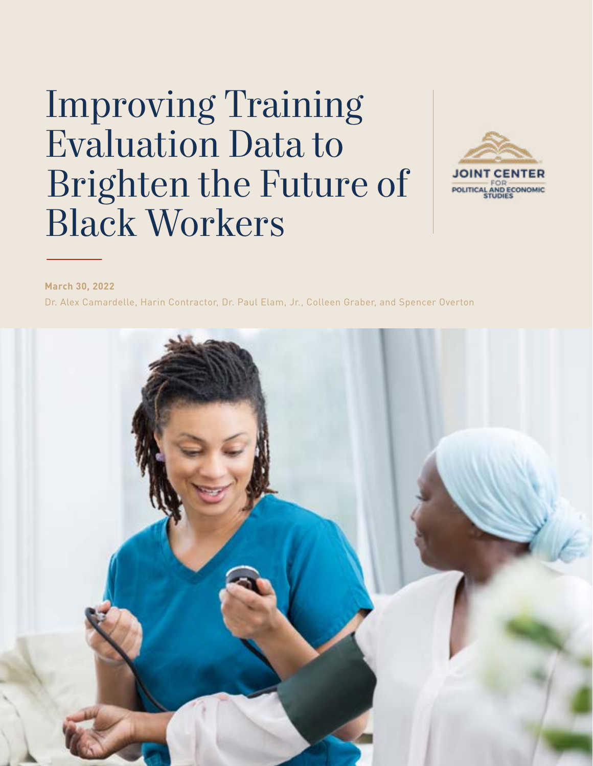# Improving Training Evaluation Data to Brighten the Future of Black Workers



**March 30, 2022**

Dr. Alex Camardelle, Harin Contractor, Dr. Paul Elam, Jr., Colleen Graber, and Spencer Overton

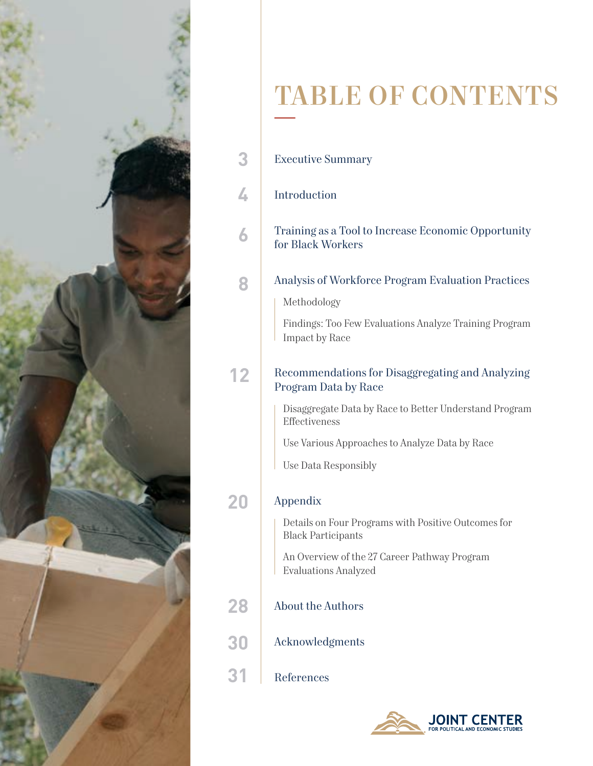

# TABLE OF CONTENTS

| 4<br>Introduction<br>Training as a Tool to Increase Economic Opportunity<br>6<br>for Black Workers<br>Analysis of Workforce Program Evaluation Practices<br>8<br>Methodology<br>Findings: Too Few Evaluations Analyze Training Program<br>Impact by Race<br>Recommendations for Disaggregating and Analyzing<br>12<br>Program Data by Race<br>Disaggregate Data by Race to Better Understand Program<br>Effectiveness<br>Use Various Approaches to Analyze Data by Race<br>Use Data Responsibly<br>Appendix<br>Details on Four Programs with Positive Outcomes for<br><b>Black Participants</b><br>An Overview of the 27 Career Pathway Program<br><b>Evaluations Analyzed</b><br>28<br><b>About the Authors</b><br>30<br>Acknowledgments<br>References | 3 | <b>Executive Summary</b> |
|---------------------------------------------------------------------------------------------------------------------------------------------------------------------------------------------------------------------------------------------------------------------------------------------------------------------------------------------------------------------------------------------------------------------------------------------------------------------------------------------------------------------------------------------------------------------------------------------------------------------------------------------------------------------------------------------------------------------------------------------------------|---|--------------------------|
|                                                                                                                                                                                                                                                                                                                                                                                                                                                                                                                                                                                                                                                                                                                                                         |   |                          |
|                                                                                                                                                                                                                                                                                                                                                                                                                                                                                                                                                                                                                                                                                                                                                         |   |                          |
|                                                                                                                                                                                                                                                                                                                                                                                                                                                                                                                                                                                                                                                                                                                                                         |   |                          |
|                                                                                                                                                                                                                                                                                                                                                                                                                                                                                                                                                                                                                                                                                                                                                         |   |                          |
|                                                                                                                                                                                                                                                                                                                                                                                                                                                                                                                                                                                                                                                                                                                                                         |   |                          |
|                                                                                                                                                                                                                                                                                                                                                                                                                                                                                                                                                                                                                                                                                                                                                         |   |                          |
|                                                                                                                                                                                                                                                                                                                                                                                                                                                                                                                                                                                                                                                                                                                                                         |   |                          |
|                                                                                                                                                                                                                                                                                                                                                                                                                                                                                                                                                                                                                                                                                                                                                         |   |                          |

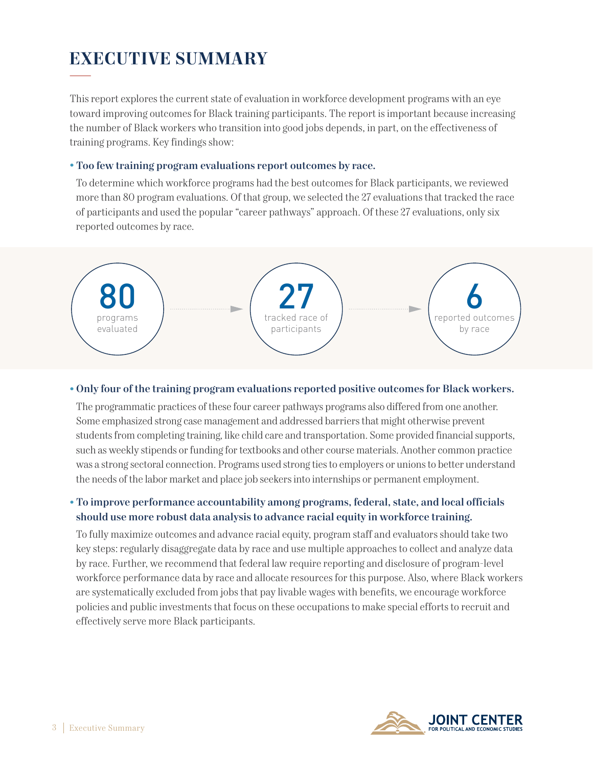# **EXECUTIVE SUMMARY**

This report explores the current state of evaluation in workforce development programs with an eye toward improving outcomes for Black training participants. The report is important because increasing the number of Black workers who transition into good jobs depends, in part, on the effectiveness of training programs. Key findings show:

#### • Too few training program evaluations report outcomes by race.

To determine which workforce programs had the best outcomes for Black participants, we reviewed more than 80 program evaluations. Of that group, we selected the 27 evaluations that tracked the race of participants and used the popular "career pathways" approach. Of these 27 evaluations, only six reported outcomes by race.



#### • Only four of the training program evaluations reported positive outcomes for Black workers.

The programmatic practices of these four career pathways programs also differed from one another. Some emphasized strong case management and addressed barriers that might otherwise prevent students from completing training, like child care and transportation. Some provided financial supports, such as weekly stipends or funding for textbooks and other course materials. Another common practice was a strong sectoral connection. Programs used strong ties to employers or unions to better understand the needs of the labor market and place job seekers into internships or permanent employment.

### • To improve performance accountability among programs, federal, state, and local officials should use more robust data analysis to advance racial equity in workforce training.

To fully maximize outcomes and advance racial equity, program staff and evaluators should take two key steps: regularly disaggregate data by race and use multiple approaches to collect and analyze data by race. Further, we recommend that federal law require reporting and disclosure of program-level workforce performance data by race and allocate resources for this purpose. Also, where Black workers are systematically excluded from jobs that pay livable wages with benefits, we encourage workforce policies and public investments that focus on these occupations to make special efforts to recruit and effectively serve more Black participants.

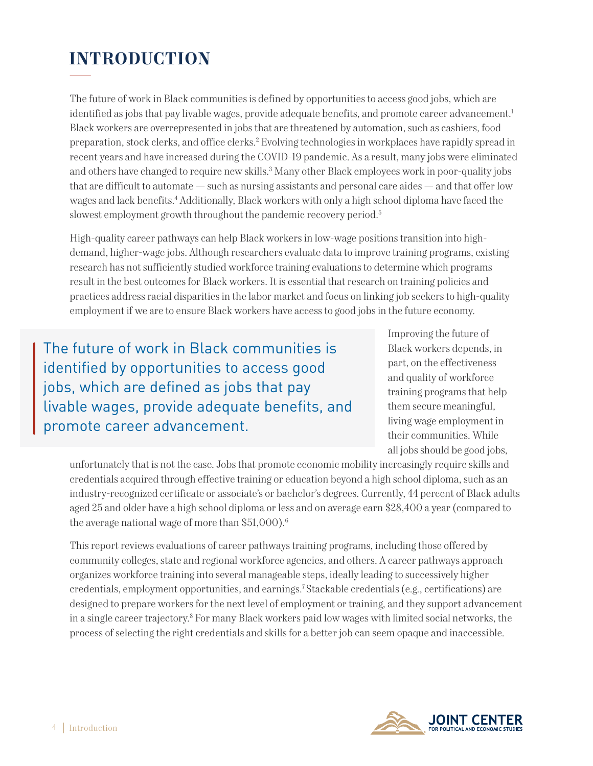# **INTRODUCTION**

The future of work in Black communities is defined by opportunities to access good jobs, which are identified as jobs that pay livable wages, provide adequate benefits, and promote career advancement.<sup>1</sup> Black workers are overrepresented in jobs that are threatened by automation, such as cashiers, food preparation, stock clerks, and office clerks.2 Evolving technologies in workplaces have rapidly spread in recent years and have increased during the COVID-19 pandemic. As a result, many jobs were eliminated and others have changed to require new skills.3 Many other Black employees work in poor-quality jobs that are difficult to automate — such as nursing assistants and personal care aides — and that offer low wages and lack benefits.4 Additionally, Black workers with only a high school diploma have faced the slowest employment growth throughout the pandemic recovery period.<sup>5</sup>

High-quality career pathways can help Black workers in low-wage positions transition into highdemand, higher-wage jobs. Although researchers evaluate data to improve training programs, existing research has not sufficiently studied workforce training evaluations to determine which programs result in the best outcomes for Black workers. It is essential that research on training policies and practices address racial disparities in the labor market and focus on linking job seekers to high-quality employment if we are to ensure Black workers have access to good jobs in the future economy.

The future of work in Black communities is identified by opportunities to access good jobs, which are defined as jobs that pay livable wages, provide adequate benefits, and promote career advancement.

Improving the future of Black workers depends, in part, on the effectiveness and quality of workforce training programs that help them secure meaningful, living wage employment in their communities. While all jobs should be good jobs,

unfortunately that is not the case. Jobs that promote economic mobility increasingly require skills and credentials acquired through effective training or education beyond a high school diploma, such as an industry-recognized certificate or associate's or bachelor's degrees. Currently, 44 percent of Black adults aged 25 and older have a high school diploma or less and on average earn \$28,400 a year (compared to the average national wage of more than \$51,000).<sup>6</sup>

This report reviews evaluations of career pathways training programs, including those offered by community colleges, state and regional workforce agencies, and others. A career pathways approach organizes workforce training into several manageable steps, ideally leading to successively higher credentials, employment opportunities, and earnings.7 Stackable credentials (e.g., certifications) are designed to prepare workers for the next level of employment or training, and they support advancement in a single career trajectory.8 For many Black workers paid low wages with limited social networks, the process of selecting the right credentials and skills for a better job can seem opaque and inaccessible.

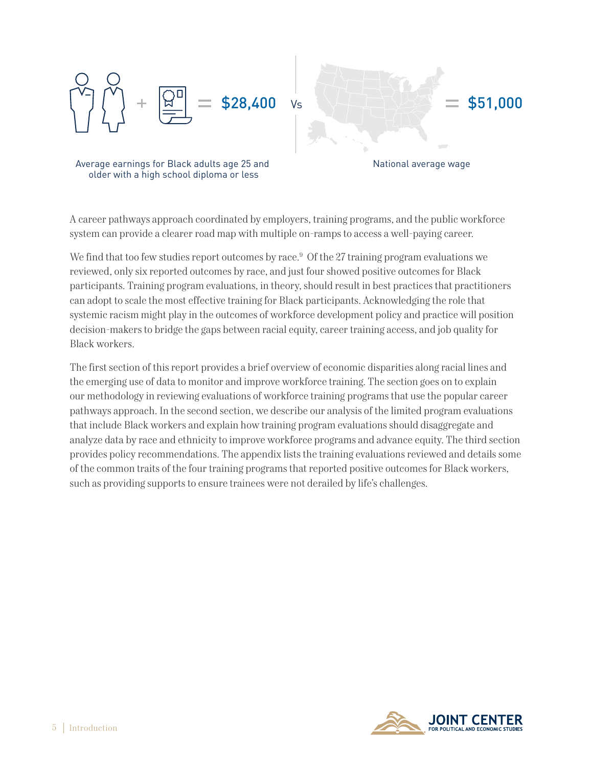

Average earnings for Black adults age 25 and older with a high school diploma or less

National average wage

A career pathways approach coordinated by employers, training programs, and the public workforce system can provide a clearer road map with multiple on-ramps to access a well-paying career.

We find that too few studies report outcomes by race.<sup>9</sup> Of the 27 training program evaluations we reviewed, only six reported outcomes by race, and just four showed positive outcomes for Black participants. Training program evaluations, in theory, should result in best practices that practitioners can adopt to scale the most effective training for Black participants. Acknowledging the role that systemic racism might play in the outcomes of workforce development policy and practice will position decision-makers to bridge the gaps between racial equity, career training access, and job quality for Black workers.

The first section of this report provides a brief overview of economic disparities along racial lines and the emerging use of data to monitor and improve workforce training. The section goes on to explain our methodology in reviewing evaluations of workforce training programs that use the popular career pathways approach. In the second section, we describe our analysis of the limited program evaluations that include Black workers and explain how training program evaluations should disaggregate and analyze data by race and ethnicity to improve workforce programs and advance equity. The third section provides policy recommendations. The appendix lists the training evaluations reviewed and details some of the common traits of the four training programs that reported positive outcomes for Black workers, such as providing supports to ensure trainees were not derailed by life's challenges.

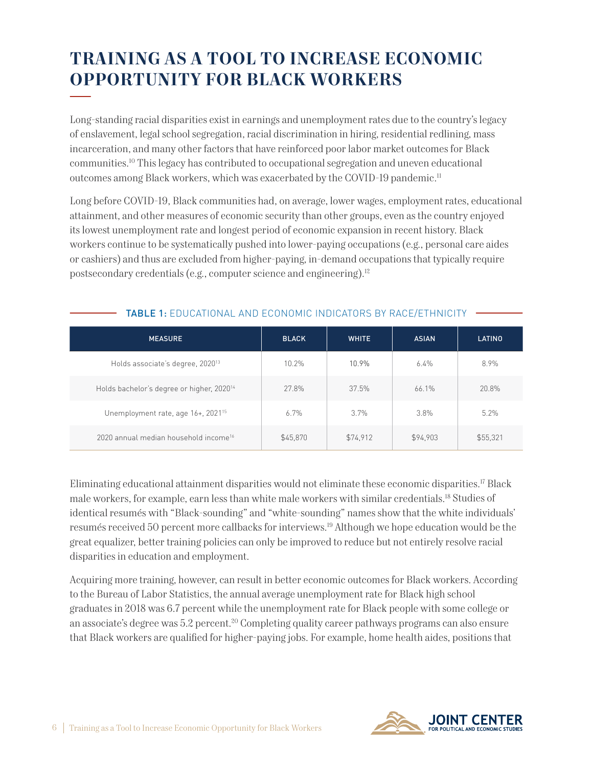# **TRAINING AS A TOOL TO INCREASE ECONOMIC OPPORTUNITY FOR BLACK WORKERS**

Long-standing racial disparities exist in earnings and unemployment rates due to the country's legacy of enslavement, legal school segregation, racial discrimination in hiring, residential redlining, mass incarceration, and many other factors that have reinforced poor labor market outcomes for Black communities.10 This legacy has contributed to occupational segregation and uneven educational outcomes among Black workers, which was exacerbated by the COVID-19 pandemic.11

Long before COVID-19, Black communities had, on average, lower wages, employment rates, educational attainment, and other measures of economic security than other groups, even as the country enjoyed its lowest unemployment rate and longest period of economic expansion in recent history. Black workers continue to be systematically pushed into lower-paying occupations (e.g., personal care aides or cashiers) and thus are excluded from higher-paying, in-demand occupations that typically require postsecondary credentials (e.g., computer science and engineering).<sup>12</sup>

| <b>MEASURE</b>                                        | <b>BLACK</b> | <b>WHITE</b> | <b>ASIAN</b> | LATINO   |
|-------------------------------------------------------|--------------|--------------|--------------|----------|
| Holds associate's degree, 2020 <sup>13</sup>          | 10.2%        | 10.9%        | $6.4\%$      | 8.9%     |
| Holds bachelor's degree or higher, 2020 <sup>14</sup> | 27.8%        | 37.5%        | 66.1%        | 20.8%    |
| Unemployment rate, age 16+, 2021 <sup>15</sup>        | 6.7%         | 3.7%         | 3.8%         | 5.2%     |
| 2020 annual median household income <sup>16</sup>     | \$45,870     | \$74,912     | \$94,903     | \$55,321 |

## TABLE 1: EDUCATIONAL AND ECONOMIC INDICATORS BY RACE/ETHNICITY

Eliminating educational attainment disparities would not eliminate these economic disparities.17 Black male workers, for example, earn less than white male workers with similar credentials.18 Studies of identical resumés with "Black-sounding" and "white-sounding" names show that the white individuals' resumés received 50 percent more callbacks for interviews.19 Although we hope education would be the great equalizer, better training policies can only be improved to reduce but not entirely resolve racial disparities in education and employment.

Acquiring more training, however, can result in better economic outcomes for Black workers. According to the Bureau of Labor Statistics, the annual average unemployment rate for Black high school graduates in 2018 was 6.7 percent while the unemployment rate for Black people with some college or an associate's degree was 5.2 percent.<sup>20</sup> Completing quality career pathways programs can also ensure that Black workers are qualified for higher-paying jobs. For example, home health aides, positions that

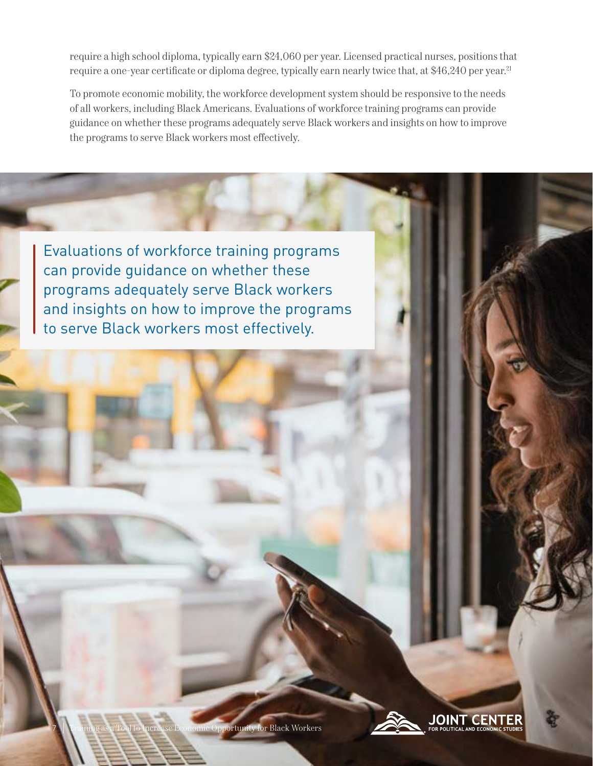require a high school diploma, typically earn \$24,060 per year. Licensed practical nurses, positions that require a one-year certificate or diploma degree, typically earn nearly twice that, at \$46,240 per year.<sup>21</sup>

To promote economic mobility, the workforce development system should be responsive to the needs of all workers, including Black Americans. Evaluations of workforce training programs can provide guidance on whether these programs adequately serve Black workers and insights on how to improve the programs to serve Black workers most effectively.

Evaluations of workforce training programs can provide guidance on whether these programs adequately serve Black workers and insights on how to improve the programs to serve Black workers most effectively.

7

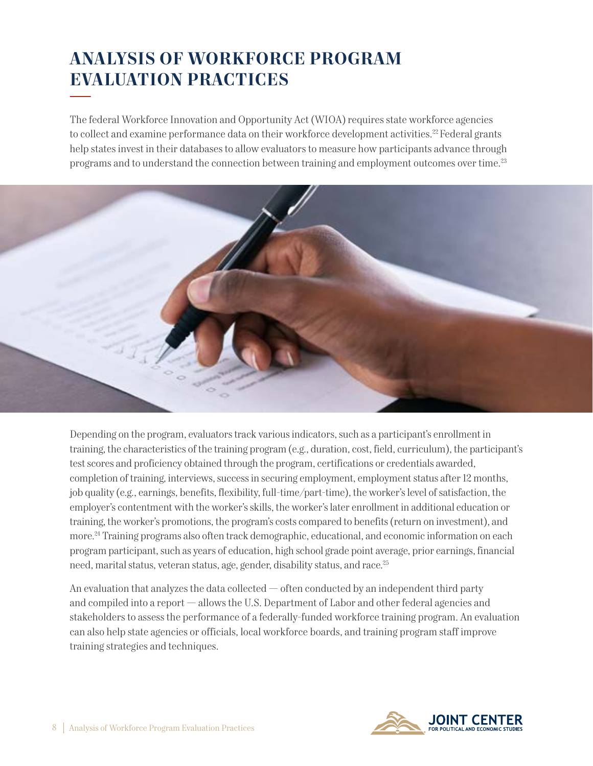# **ANALYSIS OF WORKFORCE PROGRAM EVALUATION PRACTICES**

The federal Workforce Innovation and Opportunity Act (WIOA) requires state workforce agencies to collect and examine performance data on their workforce development activities.<sup>22</sup> Federal grants help states invest in their databases to allow evaluators to measure how participants advance through programs and to understand the connection between training and employment outcomes over time.23



Depending on the program, evaluators track various indicators, such as a participant's enrollment in training, the characteristics of the training program (e.g., duration, cost, field, curriculum), the participant's test scores and proficiency obtained through the program, certifications or credentials awarded, completion of training, interviews, success in securing employment, employment status after 12 months, job quality (e.g., earnings, benefits, flexibility, full-time/part-time), the worker's level of satisfaction, the employer's contentment with the worker's skills, the worker's later enrollment in additional education or training, the worker's promotions, the program's costs compared to benefits (return on investment), and more.24 Training programs also often track demographic, educational, and economic information on each program participant, such as years of education, high school grade point average, prior earnings, financial need, marital status, veteran status, age, gender, disability status, and race.25

An evaluation that analyzes the data collected  $-$  often conducted by an independent third party and compiled into a report — allows the U.S. Department of Labor and other federal agencies and stakeholders to assess the performance of a federally-funded workforce training program. An evaluation can also help state agencies or officials, local workforce boards, and training program staff improve training strategies and techniques.

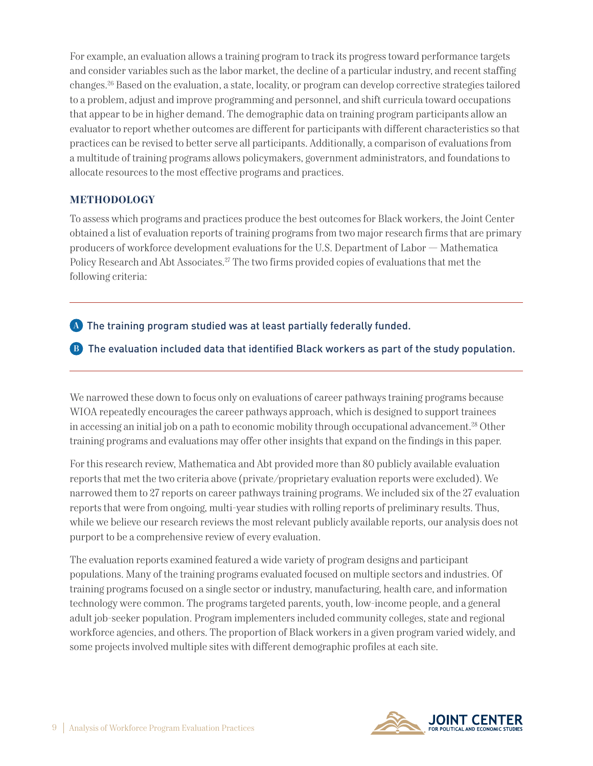For example, an evaluation allows a training program to track its progress toward performance targets and consider variables such as the labor market, the decline of a particular industry, and recent staffing changes.26 Based on the evaluation, a state, locality, or program can develop corrective strategies tailored to a problem, adjust and improve programming and personnel, and shift curricula toward occupations that appear to be in higher demand. The demographic data on training program participants allow an evaluator to report whether outcomes are different for participants with different characteristics so that practices can be revised to better serve all participants. Additionally, a comparison of evaluations from a multitude of training programs allows policymakers, government administrators, and foundations to allocate resources to the most effective programs and practices.

## **METHODOLOGY**

To assess which programs and practices produce the best outcomes for Black workers, the Joint Center obtained a list of evaluation reports of training programs from two major research firms that are primary producers of workforce development evaluations for the U.S. Department of Labor — Mathematica Policy Research and Abt Associates.27 The two firms provided copies of evaluations that met the following criteria:

<sup>A</sup> The training program studied was at least partially federally funded.

B The evaluation included data that identified Black workers as part of the study population.

We narrowed these down to focus only on evaluations of career pathways training programs because WIOA repeatedly encourages the career pathways approach, which is designed to support trainees in accessing an initial job on a path to economic mobility through occupational advancement.<sup>28</sup> Other training programs and evaluations may offer other insights that expand on the findings in this paper.

For this research review, Mathematica and Abt provided more than 80 publicly available evaluation reports that met the two criteria above (private/proprietary evaluation reports were excluded). We narrowed them to 27 reports on career pathways training programs. We included six of the 27 evaluation reports that were from ongoing, multi-year studies with rolling reports of preliminary results. Thus, while we believe our research reviews the most relevant publicly available reports, our analysis does not purport to be a comprehensive review of every evaluation.

The evaluation reports examined featured a wide variety of program designs and participant populations. Many of the training programs evaluated focused on multiple sectors and industries. Of training programs focused on a single sector or industry, manufacturing, health care, and information technology were common. The programs targeted parents, youth, low-income people, and a general adult job-seeker population. Program implementers included community colleges, state and regional workforce agencies, and others. The proportion of Black workers in a given program varied widely, and some projects involved multiple sites with different demographic profiles at each site.

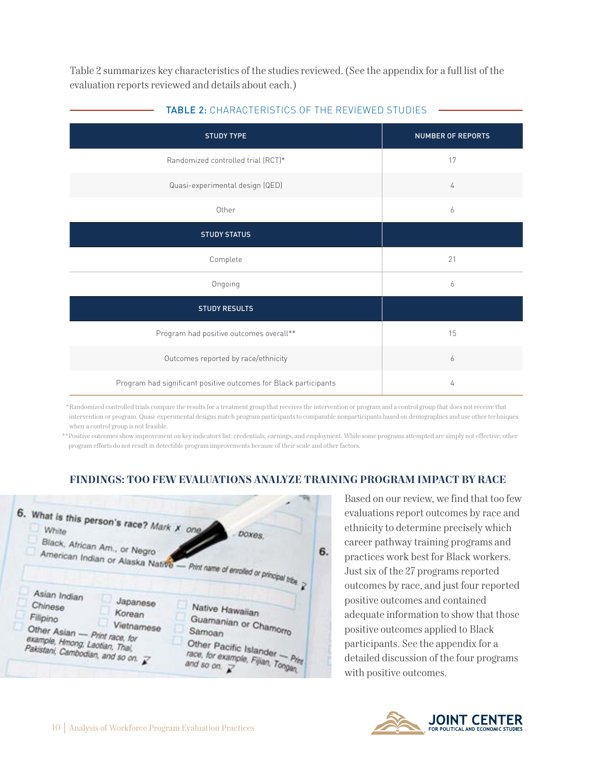Table 2 summarizes key characteristics of the studies reviewed. (See the appendix for a full list of the evaluation reports reviewed and details about each.)

| <b>STUDY TYPE</b>                                                | NUMBER OF REPORTS |
|------------------------------------------------------------------|-------------------|
| Randomized controlled trial (RCT)*                               | 17                |
| Quasi-experimental design (QED)                                  | 4                 |
| Other                                                            | 6                 |
| <b>STUDY STATUS</b>                                              |                   |
| Complete                                                         | 21                |
| Ongoing                                                          | 6                 |
| <b>STUDY RESULTS</b>                                             |                   |
| Program had positive outcomes overall**                          | 15                |
| Outcomes reported by race/ethnicity                              | 6                 |
| Program had significant positive outcomes for Black participants | 4                 |

#### TABLE 2: CHARACTERISTICS OF THE REVIEWED STUDIES

\*Randomized controlled trials compare the results for a treatment group that receives the intervention or program and a control group that does not receive that intervention or program. Quasi-experimental designs match program participants to comparable nonparticipants based on demographics and use other techniques when a control group is not feasible.

\*\*Positive outcomes show improvement on key indicators list: credentials, earnings, and employment. While some programs attempted are simply not effective, other program efforts do not result in detectible program improvements because of their scale and other factors.

#### **FINDINGS: TOO FEW EVALUATIONS ANALYZE TRAINING PROGRAM IMPACT BY RACE**



Based on our review, we find that too few evaluations report outcomes by race and ethnicity to determine precisely which career pathway training programs and practices work best for Black workers. Just six of the 27 programs reported outcomes by race, and just four reported positive outcomes and contained adequate information to show that those positive outcomes applied to Black participants. See the appendix for a detailed discussion of the four programs with positive outcomes.

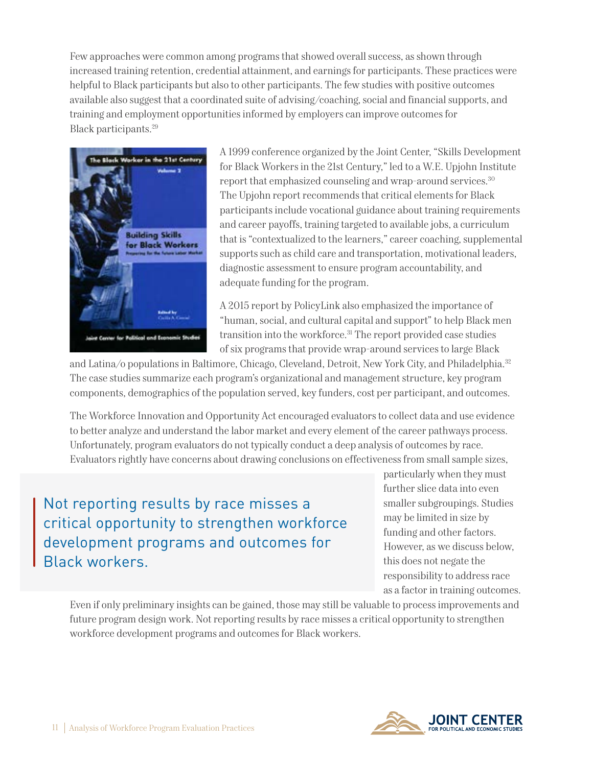Few approaches were common among programs that showed overall success, as shown through increased training retention, credential attainment, and earnings for participants. These practices were helpful to Black participants but also to other participants. The few studies with positive outcomes available also suggest that a coordinated suite of advising/coaching, social and financial supports, and training and employment opportunities informed by employers can improve outcomes for Black participants.29



A 1999 conference organized by the Joint Center, "Skills Development for Black Workers in the 21st Century," led to a W.E. Upjohn Institute report that emphasized counseling and wrap-around services.<sup>30</sup> The Upjohn report recommends that critical elements for Black participants include vocational guidance about training requirements and career payoffs, training targeted to available jobs, a curriculum that is "contextualized to the learners," career coaching, supplemental supports such as child care and transportation, motivational leaders, diagnostic assessment to ensure program accountability, and adequate funding for the program.

A 2015 report by PolicyLink also emphasized the importance of "human, social, and cultural capital and support" to help Black men transition into the workforce.<sup>31</sup> The report provided case studies of six programs that provide wrap-around services to large Black

and Latina/o populations in Baltimore, Chicago, Cleveland, Detroit, New York City, and Philadelphia.32 The case studies summarize each program's organizational and management structure, key program components, demographics of the population served, key funders, cost per participant, and outcomes.

The Workforce Innovation and Opportunity Act encouraged evaluators to collect data and use evidence to better analyze and understand the labor market and every element of the career pathways process. Unfortunately, program evaluators do not typically conduct a deep analysis of outcomes by race. Evaluators rightly have concerns about drawing conclusions on effectiveness from small sample sizes,

Not reporting results by race misses a critical opportunity to strengthen workforce development programs and outcomes for Black workers.

particularly when they must further slice data into even smaller subgroupings. Studies may be limited in size by funding and other factors. However, as we discuss below, this does not negate the responsibility to address race as a factor in training outcomes.

Even if only preliminary insights can be gained, those may still be valuable to process improvements and future program design work. Not reporting results by race misses a critical opportunity to strengthen workforce development programs and outcomes for Black workers.

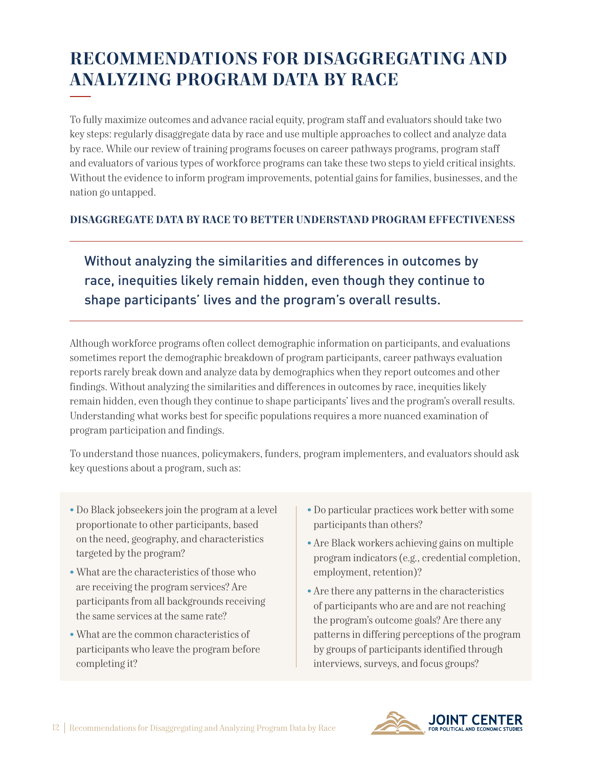# **RECOMMENDATIONS FOR DISAGGREGATING AND ANALYZING PROGRAM DATA BY RACE**

To fully maximize outcomes and advance racial equity, program staff and evaluators should take two key steps: regularly disaggregate data by race and use multiple approaches to collect and analyze data by race. While our review of training programs focuses on career pathways programs, program staff and evaluators of various types of workforce programs can take these two steps to yield critical insights. Without the evidence to inform program improvements, potential gains for families, businesses, and the nation go untapped.

## **DISAGGREGATE DATA BY RACE TO BETTER UNDERSTAND PROGRAM EFFECTIVENESS**

Without analyzing the similarities and differences in outcomes by race, inequities likely remain hidden, even though they continue to shape participants' lives and the program's overall results.

Although workforce programs often collect demographic information on participants, and evaluations sometimes report the demographic breakdown of program participants, career pathways evaluation reports rarely break down and analyze data by demographics when they report outcomes and other findings. Without analyzing the similarities and differences in outcomes by race, inequities likely remain hidden, even though they continue to shape participants' lives and the program's overall results. Understanding what works best for specific populations requires a more nuanced examination of program participation and findings.

To understand those nuances, policymakers, funders, program implementers, and evaluators should ask key questions about a program, such as:

- Do Black jobseekers join the program at a level proportionate to other participants, based on the need, geography, and characteristics targeted by the program?
- What are the characteristics of those who are receiving the program services? Are participants from all backgrounds receiving the same services at the same rate?
- What are the common characteristics of participants who leave the program before completing it?
- Do particular practices work better with some participants than others?
- Are Black workers achieving gains on multiple program indicators (e.g., credential completion, employment, retention)?
- Are there any patterns in the characteristics of participants who are and are not reaching the program's outcome goals? Are there any patterns in differing perceptions of the program by groups of participants identified through interviews, surveys, and focus groups?

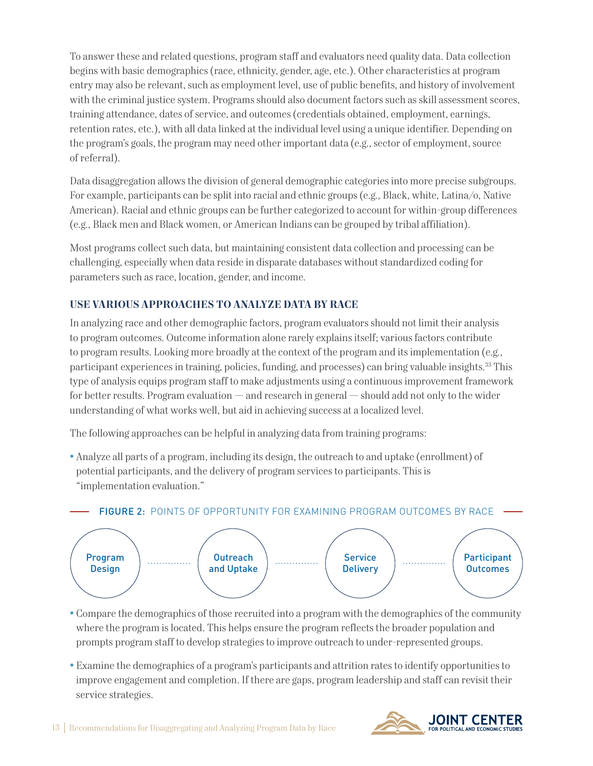To answer these and related questions, program staff and evaluators need quality data. Data collection begins with basic demographics (race, ethnicity, gender, age, etc.). Other characteristics at program entry may also be relevant, such as employment level, use of public benefits, and history of involvement with the criminal justice system. Programs should also document factors such as skill assessment scores, training attendance, dates of service, and outcomes (credentials obtained, employment, earnings, retention rates, etc.), with all data linked at the individual level using a unique identifier. Depending on the program's goals, the program may need other important data (e.g., sector of employment, source of referral).

Data disaggregation allows the division of general demographic categories into more precise subgroups. For example, participants can be split into racial and ethnic groups (e.g., Black, white, Latina/o, Native American). Racial and ethnic groups can be further categorized to account for within-group differences (e.g., Black men and Black women, or American Indians can be grouped by tribal affiliation).

Most programs collect such data, but maintaining consistent data collection and processing can be challenging, especially when data reside in disparate databases without standardized coding for parameters such as race, location, gender, and income.

## **USE VARIOUS APPROACHES TO ANALYZE DATA BY RACE**

In analyzing race and other demographic factors, program evaluators should not limit their analysis to program outcomes. Outcome information alone rarely explains itself; various factors contribute to program results. Looking more broadly at the context of the program and its implementation (e.g., participant experiences in training, policies, funding, and processes) can bring valuable insights.33 This type of analysis equips program staff to make adjustments using a continuous improvement framework for better results. Program evaluation — and research in general — should add not only to the wider understanding of what works well, but aid in achieving success at a localized level.

The following approaches can be helpful in analyzing data from training programs:

• Analyze all parts of a program, including its design, the outreach to and uptake (enrollment) of potential participants, and the delivery of program services to participants. This is "implementation evaluation."



- Compare the demographics of those recruited into a program with the demographics of the community where the program is located. This helps ensure the program reflects the broader population and prompts program staff to develop strategies to improve outreach to under-represented groups.
- Examine the demographics of a program's participants and attrition rates to identify opportunities to improve engagement and completion. If there are gaps, program leadership and staff can revisit their service strategies.

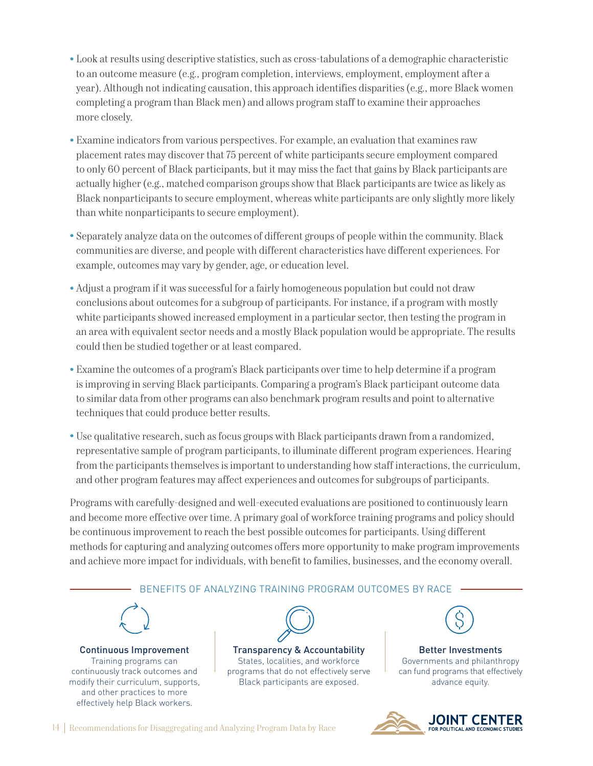- Look at results using descriptive statistics, such as cross-tabulations of a demographic characteristic to an outcome measure (e.g., program completion, interviews, employment, employment after a year). Although not indicating causation, this approach identifies disparities (e.g., more Black women completing a program than Black men) and allows program staff to examine their approaches more closely.
- Examine indicators from various perspectives. For example, an evaluation that examines raw placement rates may discover that 75 percent of white participants secure employment compared to only 60 percent of Black participants, but it may miss the fact that gains by Black participants are actually higher (e.g., matched comparison groups show that Black participants are twice as likely as Black nonparticipants to secure employment, whereas white participants are only slightly more likely than white nonparticipants to secure employment).
- Separately analyze data on the outcomes of different groups of people within the community. Black communities are diverse, and people with different characteristics have different experiences. For example, outcomes may vary by gender, age, or education level.
- Adjust a program if it was successful for a fairly homogeneous population but could not draw conclusions about outcomes for a subgroup of participants. For instance, if a program with mostly white participants showed increased employment in a particular sector, then testing the program in an area with equivalent sector needs and a mostly Black population would be appropriate. The results could then be studied together or at least compared.
- Examine the outcomes of a program's Black participants over time to help determine if a program is improving in serving Black participants. Comparing a program's Black participant outcome data to similar data from other programs can also benchmark program results and point to alternative techniques that could produce better results.
- Use qualitative research, such as focus groups with Black participants drawn from a randomized, representative sample of program participants, to illuminate different program experiences. Hearing from the participants themselves is important to understanding how staff interactions, the curriculum, and other program features may affect experiences and outcomes for subgroups of participants.

Programs with carefully-designed and well-executed evaluations are positioned to continuously learn and become more effective over time. A primary goal of workforce training programs and policy should be continuous improvement to reach the best possible outcomes for participants. Using different methods for capturing and analyzing outcomes offers more opportunity to make program improvements and achieve more impact for individuals, with benefit to families, businesses, and the economy overall.





14 Recommendations for Disaggregating and Analyzing Program Data by Race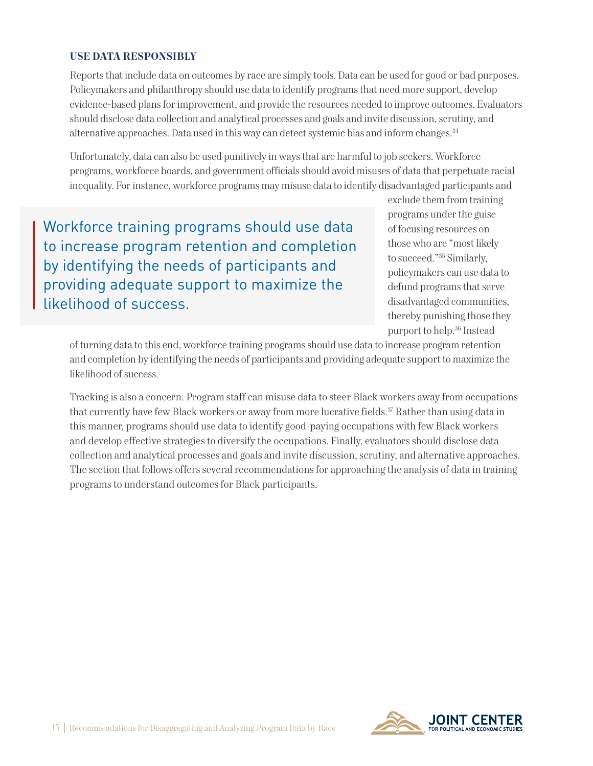#### **USE DATA RESPONSIBLY**

Reports that include data on outcomes by race are simply tools. Data can be used for good or bad purposes. Policymakers and philanthropy should use data to identify programs that need more support, develop evidence-based plans for improvement, and provide the resources needed to improve outcomes. Evaluators should disclose data collection and analytical processes and goals and invite discussion, scrutiny, and alternative approaches. Data used in this way can detect systemic bias and inform changes.<sup>34</sup>

Unfortunately, data can also be used punitively in ways that are harmful to job seekers. Workforce programs, workforce boards, and government officials should avoid misuses of data that perpetuate racial inequality. For instance, workforce programs may misuse data to identify disadvantaged participants and

Workforce training programs should use data to increase program retention and completion by identifying the needs of participants and providing adequate support to maximize the likelihood of success.

exclude them from training programs under the guise of focusing resources on those who are "most likely to succeed."35 Similarly, policymakers can use data to defund programs that serve disadvantaged communities, thereby punishing those they purport to help.36 Instead

of turning data to this end, workforce training programs should use data to increase program retention and completion by identifying the needs of participants and providing adequate support to maximize the likelihood of success.

Tracking is also a concern. Program staff can misuse data to steer Black workers away from occupations that currently have few Black workers or away from more lucrative fields.<sup>37</sup> Rather than using data in this manner, programs should use data to identify good-paying occupations with few Black workers and develop effective strategies to diversify the occupations. Finally, evaluators should disclose data collection and analytical processes and goals and invite discussion, scrutiny, and alternative approaches. The section that follows offers several recommendations for approaching the analysis of data in training programs to understand outcomes for Black participants.

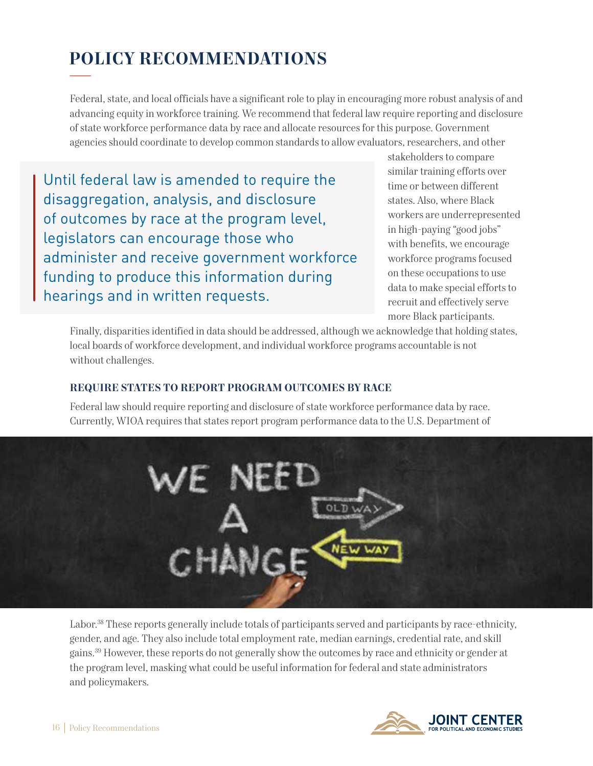# **POLICY RECOMMENDATIONS**

Federal, state, and local officials have a significant role to play in encouraging more robust analysis of and advancing equity in workforce training. We recommend that federal law require reporting and disclosure of state workforce performance data by race and allocate resources for this purpose. Government agencies should coordinate to develop common standards to allow evaluators, researchers, and other

Until federal law is amended to require the disaggregation, analysis, and disclosure of outcomes by race at the program level, legislators can encourage those who administer and receive government workforce funding to produce this information during hearings and in written requests.

stakeholders to compare similar training efforts over time or between different states. Also, where Black workers are underrepresented in high-paying "good jobs" with benefits, we encourage workforce programs focused on these occupations to use data to make special efforts to recruit and effectively serve more Black participants.

Finally, disparities identified in data should be addressed, although we acknowledge that holding states, local boards of workforce development, and individual workforce programs accountable is not without challenges.

#### **REQUIRE STATES TO REPORT PROGRAM OUTCOMES BY RACE**

Federal law should require reporting and disclosure of state workforce performance data by race. Currently, WIOA requires that states report program performance data to the U.S. Department of



Labor.38 These reports generally include totals of participants served and participants by race-ethnicity, gender, and age. They also include total employment rate, median earnings, credential rate, and skill gains.39 However, these reports do not generally show the outcomes by race and ethnicity or gender at the program level, masking what could be useful information for federal and state administrators and policymakers.

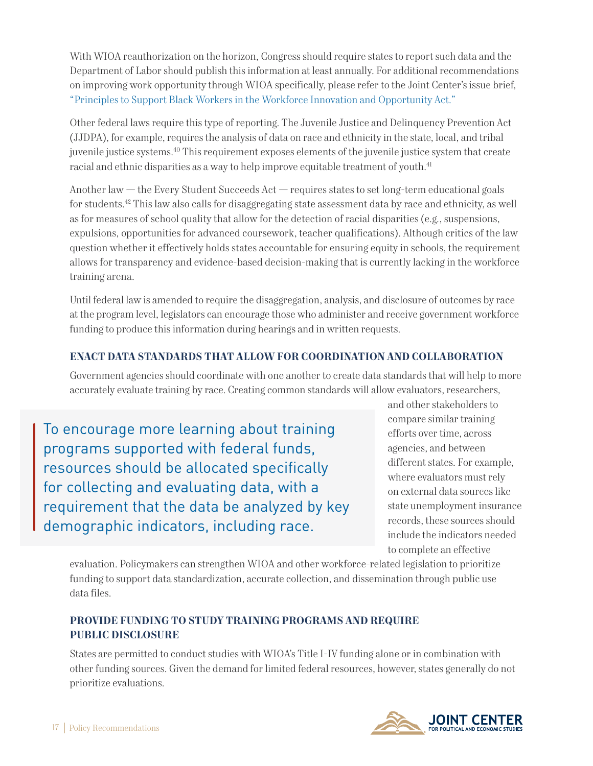With WIOA reauthorization on the horizon, Congress should require states to report such data and the Department of Labor should publish this information at least annually. For additional recommendations on improving work opportunity through WIOA specifically, please refer to the Joint Center's issue brief, "[Principles to Support Black Workers in the Workforce Innovation and Opportunity Act.](https://jointcenter.org/wp-content/uploads/2021/10/Principles-to-Support-Black-Workers-in-the-WIOA.pdf)"

Other federal laws require this type of reporting. The Juvenile Justice and Delinquency Prevention Act (JJDPA), for example, requires the analysis of data on race and ethnicity in the state, local, and tribal juvenile justice systems.40 This requirement exposes elements of the juvenile justice system that create racial and ethnic disparities as a way to help improve equitable treatment of youth.<sup>41</sup>

Another law — the Every Student Succeeds Act — requires states to set long-term educational goals for students.42 This law also calls for disaggregating state assessment data by race and ethnicity, as well as for measures of school quality that allow for the detection of racial disparities (e.g., suspensions, expulsions, opportunities for advanced coursework, teacher qualifications). Although critics of the law question whether it effectively holds states accountable for ensuring equity in schools, the requirement allows for transparency and evidence-based decision-making that is currently lacking in the workforce training arena.

Until federal law is amended to require the disaggregation, analysis, and disclosure of outcomes by race at the program level, legislators can encourage those who administer and receive government workforce funding to produce this information during hearings and in written requests.

## **ENACT DATA STANDARDS THAT ALLOW FOR COORDINATION AND COLLABORATION**

Government agencies should coordinate with one another to create data standards that will help to more accurately evaluate training by race. Creating common standards will allow evaluators, researchers,

To encourage more learning about training programs supported with federal funds, resources should be allocated specifically for collecting and evaluating data, with a requirement that the data be analyzed by key demographic indicators, including race.

and other stakeholders to compare similar training efforts over time, across agencies, and between different states. For example, where evaluators must rely on external data sources like state unemployment insurance records, these sources should include the indicators needed to complete an effective

evaluation. Policymakers can strengthen WIOA and other workforce-related legislation to prioritize funding to support data standardization, accurate collection, and dissemination through public use data files.

## **PROVIDE FUNDING TO STUDY TRAINING PROGRAMS AND REQUIRE PUBLIC DISCLOSURE**

States are permitted to conduct studies with WIOA's Title I-IV funding alone or in combination with other funding sources. Given the demand for limited federal resources, however, states generally do not prioritize evaluations.

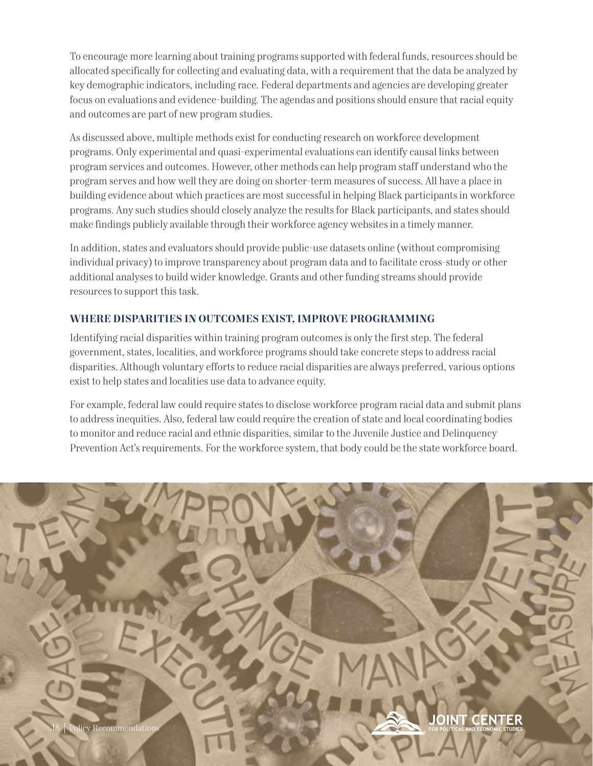To encourage more learning about training programs supported with federal funds, resources should be allocated specifically for collecting and evaluating data, with a requirement that the data be analyzed by key demographic indicators, including race. Federal departments and agencies are developing greater focus on evaluations and evidence-building. The agendas and positions should ensure that racial equity and outcomes are part of new program studies.

As discussed above, multiple methods exist for conducting research on workforce development programs. Only experimental and quasi-experimental evaluations can identify causal links between program services and outcomes. However, other methods can help program staff understand who the program serves and how well they are doing on shorter-term measures of success. All have a place in building evidence about which practices are most successful in helping Black participants in workforce programs. Any such studies should closely analyze the results for Black participants, and states should make findings publicly available through their workforce agency websites in a timely manner.

In addition, states and evaluators should provide public-use datasets online (without compromising individual privacy) to improve transparency about program data and to facilitate cross-study or other additional analyses to build wider knowledge. Grants and other funding streams should provide resources to support this task.

## **WHERE DISPARITIES IN OUTCOMES EXIST, IMPROVE PROGRAMMING**

Identifying racial disparities within training program outcomes is only the first step. The federal government, states, localities, and workforce programs should take concrete steps to address racial disparities. Although voluntary efforts to reduce racial disparities are always preferred, various options exist to help states and localities use data to advance equity.

For example, federal law could require states to disclose workforce program racial data and submit plans to address inequities. Also, federal law could require the creation of state and local coordinating bodies to monitor and reduce racial and ethnic disparities, similar to the Juvenile Justice and Delinquency Prevention Act's requirements. For the workforce system, that body could be the state workforce board.

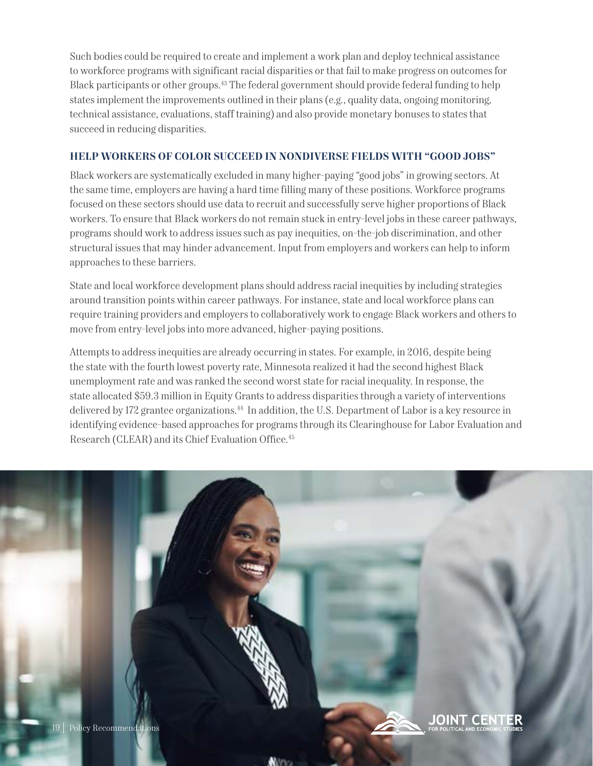Such bodies could be required to create and implement a work plan and deploy technical assistance to workforce programs with significant racial disparities or that fail to make progress on outcomes for Black participants or other groups.<sup>43</sup> The federal government should provide federal funding to help states implement the improvements outlined in their plans (e.g., quality data, ongoing monitoring, technical assistance, evaluations, staff training) and also provide monetary bonuses to states that succeed in reducing disparities.

### **HELP WORKERS OF COLOR SUCCEED IN NONDIVERSE FIELDS WITH "GOOD JOBS"**

Black workers are systematically excluded in many higher-paying "good jobs" in growing sectors. At the same time, employers are having a hard time filling many of these positions. Workforce programs focused on these sectors should use data to recruit and successfully serve higher proportions of Black workers. To ensure that Black workers do not remain stuck in entry-level jobs in these career pathways, programs should work to address issues such as pay inequities, on-the-job discrimination, and other structural issues that may hinder advancement. Input from employers and workers can help to inform approaches to these barriers.

State and local workforce development plans should address racial inequities by including strategies around transition points within career pathways. For instance, state and local workforce plans can require training providers and employers to collaboratively work to engage Black workers and others to move from entry-level jobs into more advanced, higher-paying positions.

Attempts to address inequities are already occurring in states. For example, in 2016, despite being the state with the fourth lowest poverty rate, Minnesota realized it had the second highest Black unemployment rate and was ranked the second worst state for racial inequality. In response, the state allocated \$59.3 million in Equity Grants to address disparities through a variety of interventions delivered by 172 grantee organizations.<sup>44</sup> In addition, the U.S. Department of Labor is a key resource in identifying evidence-based approaches for programs through its Clearinghouse for Labor Evaluation and Research (CLEAR) and its Chief Evaluation Office.<sup>45</sup>

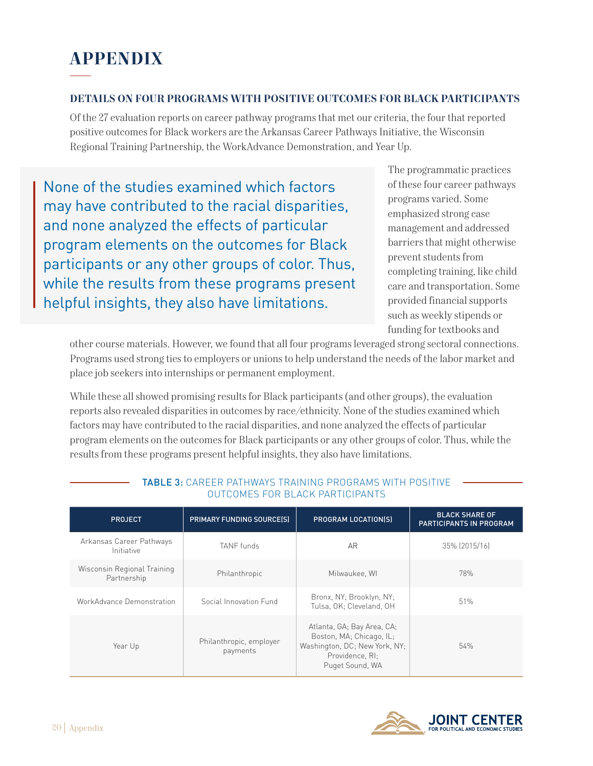# **APPENDIX**

#### **DETAILS ON FOUR PROGRAMS WITH POSITIVE OUTCOMES FOR BLACK PARTICIPANTS**

Of the 27 evaluation reports on career pathway programs that met our criteria, the four that reported positive outcomes for Black workers are the Arkansas Career Pathways Initiative, the Wisconsin Regional Training Partnership, the WorkAdvance Demonstration, and Year Up.

None of the studies examined which factors may have contributed to the racial disparities, and none analyzed the effects of particular program elements on the outcomes for Black participants or any other groups of color. Thus, while the results from these programs present helpful insights, they also have limitations.

The programmatic practices of these four career pathways programs varied. Some emphasized strong case management and addressed barriers that might otherwise prevent students from completing training, like child care and transportation. Some provided financial supports such as weekly stipends or funding for textbooks and

other course materials. However, we found that all four programs leveraged strong sectoral connections. Programs used strong ties to employers or unions to help understand the needs of the labor market and place job seekers into internships or permanent employment.

While these all showed promising results for Black participants (and other groups), the evaluation reports also revealed disparities in outcomes by race/ethnicity. None of the studies examined which factors may have contributed to the racial disparities, and none analyzed the effects of particular program elements on the outcomes for Black participants or any other groups of color. Thus, while the results from these programs present helpful insights, they also have limitations.

| <b>PROJECT</b>                             | <b>PRIMARY FUNDING SOURCE(S)</b>    | PROGRAM LOCATION(S)                                                                                                           | <b>BLACK SHARE OF</b><br>PARTICIPANTS IN PROGRAM |
|--------------------------------------------|-------------------------------------|-------------------------------------------------------------------------------------------------------------------------------|--------------------------------------------------|
| Arkansas Career Pathways<br>Initiative     | <b>TANF</b> funds                   | AR                                                                                                                            | 35% (2015/16)                                    |
| Wisconsin Regional Training<br>Partnership | Philanthropic                       | Milwaukee, WI                                                                                                                 | 78%                                              |
| WorkAdvance Demonstration                  | Social Innovation Fund              | Bronx, NY; Brooklyn, NY;<br>Tulsa, OK; Cleveland, OH                                                                          | 51%                                              |
| Year Up                                    | Philanthropic, employer<br>payments | Atlanta, GA; Bay Area, CA;<br>Boston, MA; Chicago, IL;<br>Washington, DC; New York, NY;<br>Providence, RI:<br>Puget Sound, WA | 54%                                              |

#### TABLE 3: CAREER PATHWAYS TRAINING PROGRAMS WITH POSITIVE OUTCOMES FOR BLACK PARTICIPANTS

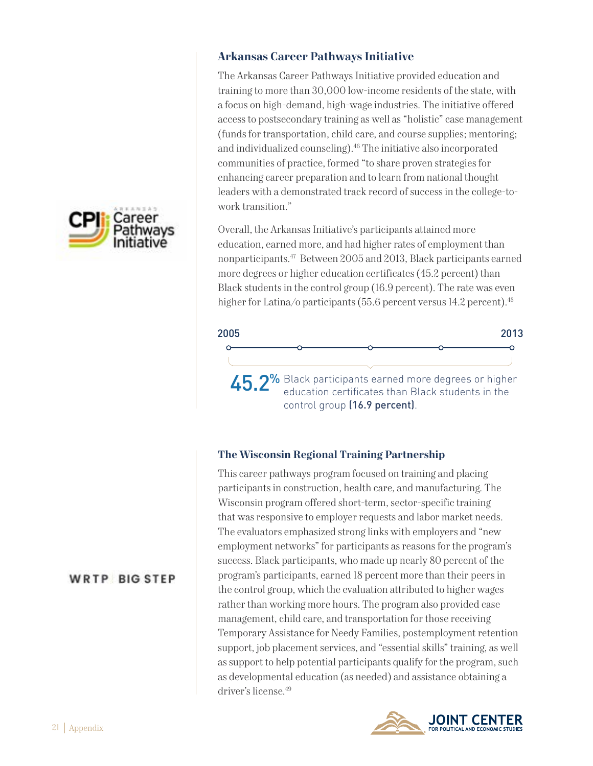

## **Arkansas Career Pathways Initiative**

The Arkansas Career Pathways Initiative provided education and training to more than 30,000 low-income residents of the state, with a focus on high-demand, high-wage industries. The initiative offered access to postsecondary training as well as "holistic" case management (funds for transportation, child care, and course supplies; mentoring; and individualized counseling).<sup>46</sup> The initiative also incorporated communities of practice, formed "to share proven strategies for enhancing career preparation and to learn from national thought leaders with a demonstrated track record of success in the college-towork transition."

Overall, the Arkansas Initiative's participants attained more education, earned more, and had higher rates of employment than nonparticipants.47 Between 2005 and 2013, Black participants earned more degrees or higher education certificates (45.2 percent) than Black students in the control group (16.9 percent). The rate was even higher for Latina/o participants (55.6 percent versus 14.2 percent).<sup>48</sup>



## **The Wisconsin Regional Training Partnership**

This career pathways program focused on training and placing participants in construction, health care, and manufacturing. The Wisconsin program offered short-term, sector-specific training that was responsive to employer requests and labor market needs. The evaluators emphasized strong links with employers and "new employment networks" for participants as reasons for the program's success. Black participants, who made up nearly 80 percent of the program's participants, earned 18 percent more than their peers in the control group, which the evaluation attributed to higher wages rather than working more hours. The program also provided case management, child care, and transportation for those receiving Temporary Assistance for Needy Families, postemployment retention support, job placement services, and "essential skills" training, as well as support to help potential participants qualify for the program, such as developmental education (as needed) and assistance obtaining a driver's license.49



## **WRTP BIG STEP**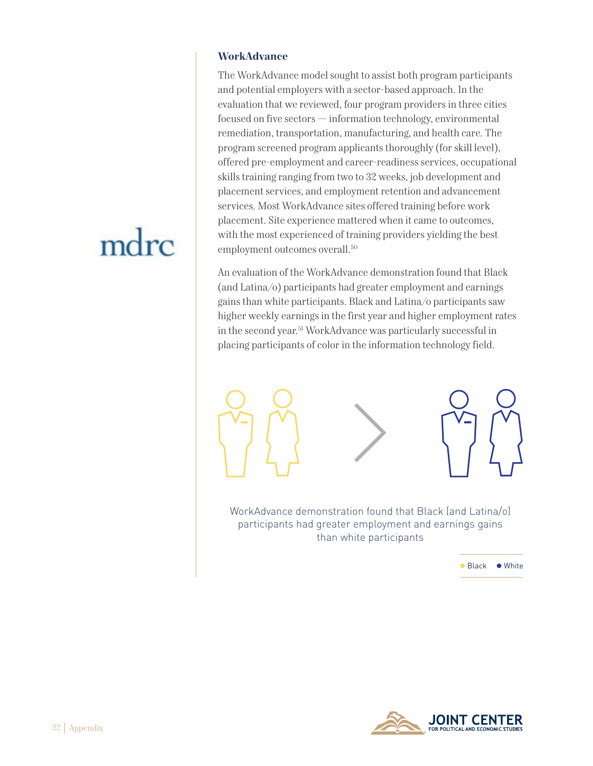# mdrc

#### **WorkAdvance**

The WorkAdvance model sought to assist both program participants and potential employers with a sector-based approach. In the evaluation that we reviewed, four program providers in three cities focused on five sectors — information technology, environmental remediation, transportation, manufacturing, and health care. The program screened program applicants thoroughly (for skill level), offered pre-employment and career-readiness services, occupational skills training ranging from two to 32 weeks, job development and placement services, and employment retention and advancement services. Most WorkAdvance sites offered training before work placement. Site experience mattered when it came to outcomes, with the most experienced of training providers yielding the best employment outcomes overall.<sup>50</sup>

An evaluation of the WorkAdvance demonstration found that Black (and Latina/o) participants had greater employment and earnings gains than white participants. Black and Latina/o participants saw higher weekly earnings in the first year and higher employment rates in the second year.51 WorkAdvance was particularly successful in placing participants of color in the information technology field.



WorkAdvance demonstration found that Black (and Latina/o) participants had greater employment and earnings gains than white participants

● Black ● White

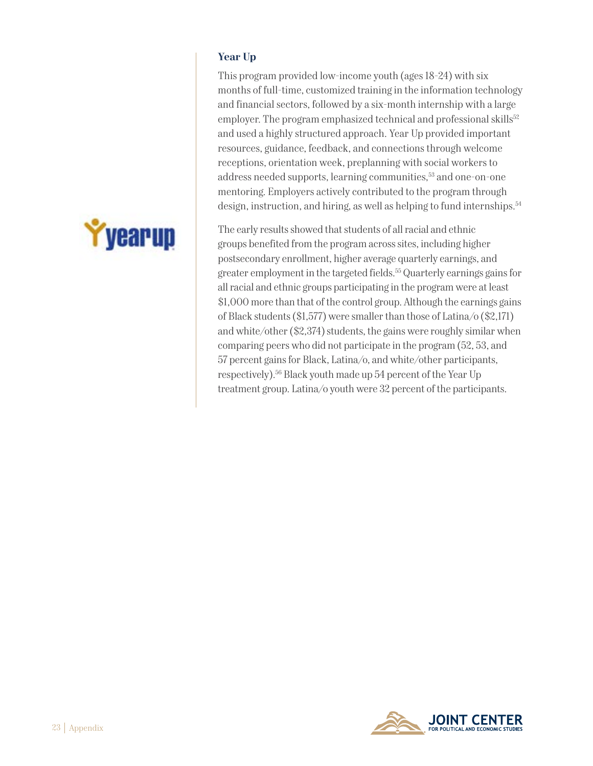# yearup

## **Year Up**

This program provided low-income youth (ages 18-24) with six months of full-time, customized training in the information technology and financial sectors, followed by a six-month internship with a large employer. The program emphasized technical and professional skills<sup>52</sup> and used a highly structured approach. Year Up provided important resources, guidance, feedback, and connections through welcome receptions, orientation week, preplanning with social workers to address needed supports, learning communities,<sup>53</sup> and one-on-one mentoring. Employers actively contributed to the program through design, instruction, and hiring, as well as helping to fund internships.<sup>54</sup>

The early results showed that students of all racial and ethnic groups benefited from the program across sites, including higher postsecondary enrollment, higher average quarterly earnings, and greater employment in the targeted fields.55 Quarterly earnings gains for all racial and ethnic groups participating in the program were at least \$1,000 more than that of the control group. Although the earnings gains of Black students (\$1,577) were smaller than those of Latina/o (\$2,171) and white/other (\$2,374) students, the gains were roughly similar when comparing peers who did not participate in the program (52, 53, and 57 percent gains for Black, Latina/o, and white/other participants, respectively).56 Black youth made up 54 percent of the Year Up treatment group. Latina/o youth were 32 percent of the participants.

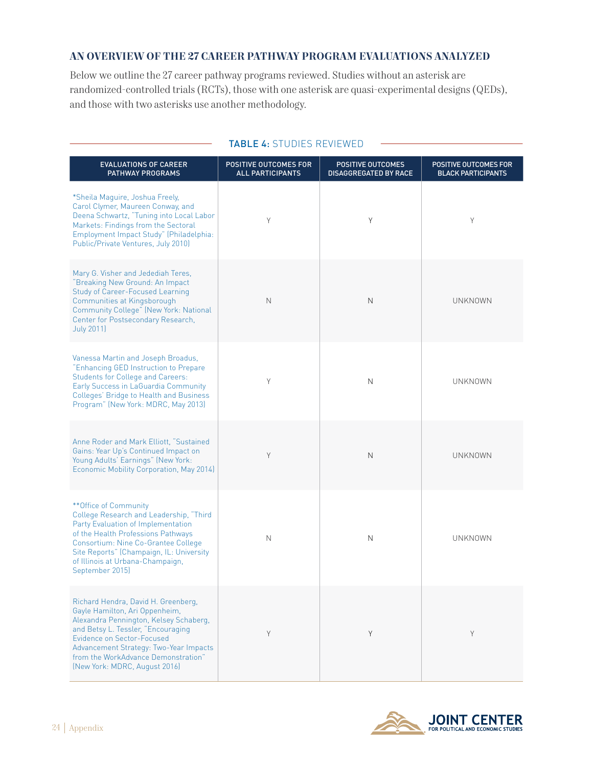#### **AN OVERVIEW OF THE 27 CAREER PATHWAY PROGRAM EVALUATIONS ANALYZED**

Below we outline the 27 career pathway programs reviewed. Studies without an asterisk are randomized-controlled trials (RCTs), those with one asterisk are quasi-experimental designs (QEDs), and those with two asterisks use another methodology.

| <b>EVALUATIONS OF CAREER</b><br><b>PATHWAY PROGRAMS</b>                                                                                                                                                                                                                                                      | POSITIVE OUTCOMES FOR<br><b>ALL PARTICIPANTS</b> | <b>POSITIVE OUTCOMES</b><br><b>DISAGGREGATED BY RACE</b> | POSITIVE OUTCOMES FOR<br><b>BLACK PARTICIPANTS</b> |
|--------------------------------------------------------------------------------------------------------------------------------------------------------------------------------------------------------------------------------------------------------------------------------------------------------------|--------------------------------------------------|----------------------------------------------------------|----------------------------------------------------|
| *Sheila Maguire, Joshua Freely,<br>Carol Clymer, Maureen Conway, and<br>Deena Schwartz, "Tuning into Local Labor<br>Markets: Findings from the Sectoral<br>Employment Impact Study" (Philadelphia:<br>Public/Private Ventures, July 2010)                                                                    | Y                                                | Υ                                                        | Y                                                  |
| Mary G. Visher and Jedediah Teres,<br>"Breaking New Ground: An Impact<br><b>Study of Career-Focused Learning</b><br>Communities at Kingsborough<br>Community College" (New York: National<br>Center for Postsecondary Research,<br><b>July 2011)</b>                                                         | N                                                | N                                                        | UNKNOWN                                            |
| Vanessa Martin and Joseph Broadus,<br>"Enhancing GED Instruction to Prepare<br><b>Students for College and Careers:</b><br>Early Success in LaGuardia Community<br>Colleges' Bridge to Health and Business<br>Program" (New York: MDRC, May 2013)                                                            | Y                                                | N                                                        | <b>UNKNOWN</b>                                     |
| Anne Roder and Mark Elliott, "Sustained<br>Gains: Year Up's Continued Impact on<br>Young Adults' Earnings" (New York:<br>Economic Mobility Corporation, May 2014)                                                                                                                                            | Y                                                | N                                                        | <b>UNKNOWN</b>                                     |
| ** Office of Community<br>College Research and Leadership, "Third<br>Party Evaluation of Implementation<br>of the Health Professions Pathways<br>Consortium: Nine Co-Grantee College<br>Site Reports" (Champaign, IL: University<br>of Illinois at Urbana-Champaign,<br>September 2015)                      | N                                                | N                                                        | <b>UNKNOWN</b>                                     |
| Richard Hendra, David H. Greenberg,<br>Gayle Hamilton, Ari Oppenheim,<br>Alexandra Pennington, Kelsey Schaberg,<br>and Betsy L. Tessler, "Encouraging<br><b>Evidence on Sector-Focused</b><br>Advancement Strategy: Two-Year Impacts<br>from the WorkAdvance Demonstration"<br>(New York: MDRC, August 2016) | Y                                                | Y                                                        | Y                                                  |

#### TABLE 4: STUDIES REVIEWED

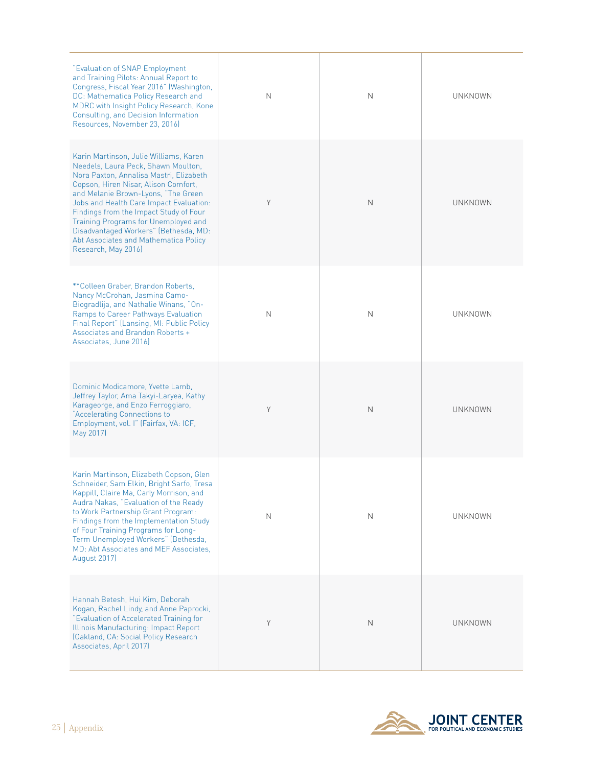| "Evaluation of SNAP Employment<br>and Training Pilots: Annual Report to<br>Congress, Fiscal Year 2016" (Washington,<br>DC: Mathematica Policy Research and<br>MDRC with Insight Policy Research, Kone<br>Consulting, and Decision Information<br>Resources, November 23, 2016)                                                                                                                                                                | N | N            | UNKNOWN        |
|-----------------------------------------------------------------------------------------------------------------------------------------------------------------------------------------------------------------------------------------------------------------------------------------------------------------------------------------------------------------------------------------------------------------------------------------------|---|--------------|----------------|
| Karin Martinson, Julie Williams, Karen<br>Needels, Laura Peck, Shawn Moulton,<br>Nora Paxton, Annalisa Mastri, Elizabeth<br>Copson, Hiren Nisar, Alison Comfort,<br>and Melanie Brown-Lyons, "The Green<br>Jobs and Health Care Impact Evaluation:<br>Findings from the Impact Study of Four<br>Training Programs for Unemployed and<br>Disadvantaged Workers" (Bethesda, MD:<br>Abt Associates and Mathematica Policy<br>Research, May 2016) | Y | $\mathsf{N}$ | UNKNOWN        |
| ** Colleen Graber, Brandon Roberts,<br>Nancy McCrohan, Jasmina Camo-<br>Biogradlija, and Nathalie Winans, "On-<br>Ramps to Career Pathways Evaluation<br>Final Report" (Lansing, MI: Public Policy<br>Associates and Brandon Roberts +<br>Associates, June 2016)                                                                                                                                                                              | N | $\mathbb N$  | <b>UNKNOWN</b> |
| Dominic Modicamore, Yvette Lamb,<br>Jeffrey Taylor, Ama Takyi-Laryea, Kathy<br>Karageorge, and Enzo Ferroggiaro,<br>"Accelerating Connections to<br>Employment, vol. I" (Fairfax, VA: ICF,<br>May 2017)                                                                                                                                                                                                                                       | Y | N            | UNKNOWN        |
| Karin Martinson, Elizabeth Copson, Glen<br>Schneider, Sam Elkin, Bright Sarfo, Tresa<br>Kappill, Claire Ma, Carly Morrison, and<br>Audra Nakas, "Evaluation of the Ready<br>to Work Partnership Grant Program:<br>Findings from the Implementation Study<br>of Four Training Programs for Long-<br>Term Unemployed Workers" (Bethesda,<br>MD: Abt Associates and MEF Associates.<br>August 2017)                                              | Ν | N            | UNKNOWN        |
| Hannah Betesh, Hui Kim, Deborah<br>Kogan, Rachel Lindy, and Anne Paprocki,<br>"Evaluation of Accelerated Training for<br>Illinois Manufacturing: Impact Report<br>(Oakland, CA: Social Policy Research<br>Associates, April 2017)                                                                                                                                                                                                             | Y | $\mathsf{N}$ | UNKNOWN        |

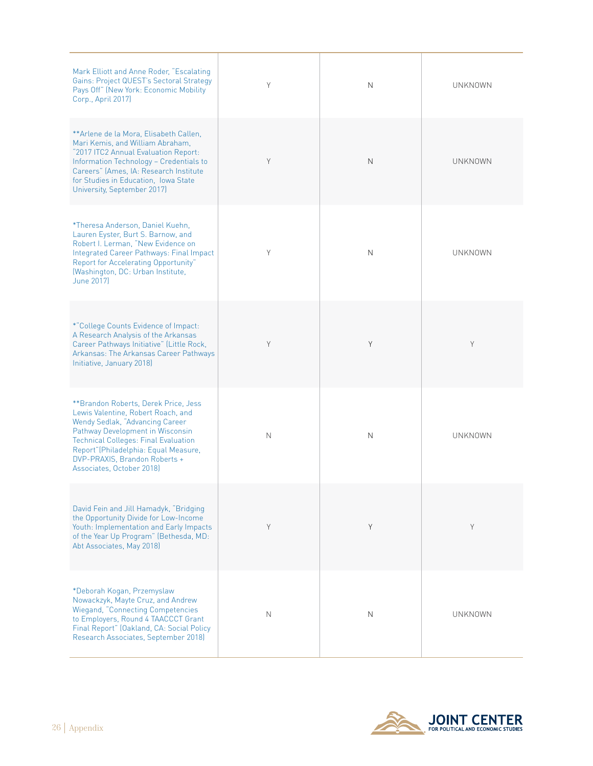| Mark Elliott and Anne Roder, "Escalating<br>Gains: Project QUEST's Sectoral Strategy<br>Pays Off" (New York: Economic Mobility<br>Corp., April 2017)                                                                                                                                                     | Y | N | UNKNOWN        |
|----------------------------------------------------------------------------------------------------------------------------------------------------------------------------------------------------------------------------------------------------------------------------------------------------------|---|---|----------------|
| ** Arlene de la Mora, Elisabeth Callen,<br>Mari Kemis, and William Abraham,<br>"2017 ITC2 Annual Evaluation Report:<br>Information Technology - Credentials to<br>Careers" (Ames, IA: Research Institute<br>for Studies in Education. Iowa State<br>University, September 2017)                          | Y | N | <b>UNKNOWN</b> |
| *Theresa Anderson, Daniel Kuehn,<br>Lauren Eyster, Burt S. Barnow, and<br>Robert I. Lerman, "New Evidence on<br>Integrated Career Pathways: Final Impact<br>Report for Accelerating Opportunity"<br>(Washington, DC: Urban Institute,<br>June 2017)                                                      | Y | N | <b>UNKNOWN</b> |
| *"College Counts Evidence of Impact:<br>A Research Analysis of the Arkansas<br>Career Pathways Initiative" (Little Rock,<br>Arkansas: The Arkansas Career Pathways<br>Initiative, January 2018)                                                                                                          | Y | Y | Y              |
| **Brandon Roberts, Derek Price, Jess<br>Lewis Valentine, Robert Roach, and<br>Wendy Sedlak, "Advancing Career"<br>Pathway Development in Wisconsin<br><b>Technical Colleges: Final Evaluation</b><br>Report" (Philadelphia: Equal Measure,<br>DVP-PRAXIS, Brandon Roberts +<br>Associates, October 2018) | N | N | <b>UNKNOWN</b> |
| David Fein and Jill Hamadyk, "Bridging<br>the Opportunity Divide for Low-Income<br>Youth: Implementation and Early Impacts<br>of the Year Up Program" (Bethesda, MD:<br>Abt Associates, May 2018)                                                                                                        | Υ | Y | Y              |
| *Deborah Kogan, Przemyslaw<br>Nowackzyk, Mayte Cruz, and Andrew<br><b>Wiegand, "Connecting Competencies</b><br>to Employers, Round 4 TAACCCT Grant<br>Final Report" (Oakland, CA: Social Policy<br>Research Associates, September 2018)                                                                  | N | N | <b>UNKNOWN</b> |

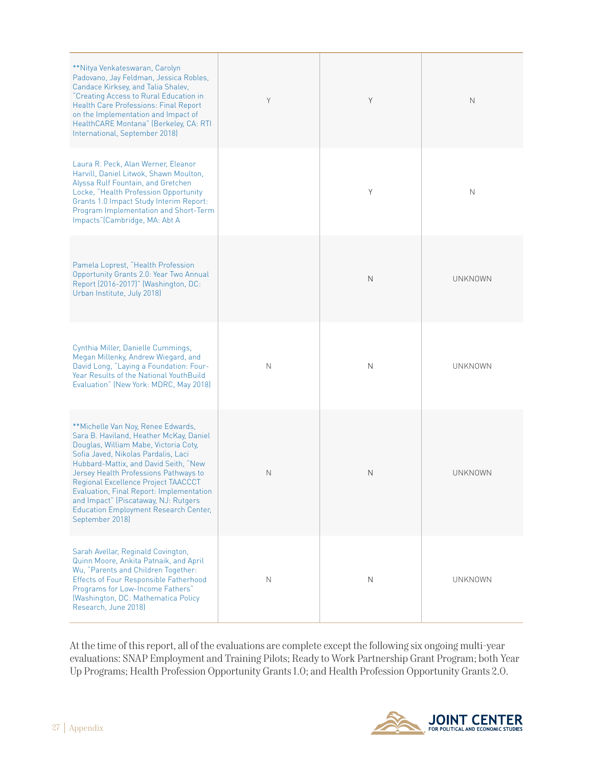| **Nitya Venkateswaran, Carolyn<br>Padovano, Jay Feldman, Jessica Robles,<br>Candace Kirksey, and Talia Shalev,<br>"Creating Access to Rural Education in<br>Health Care Professions: Final Report<br>on the Implementation and Impact of<br>HealthCARE Montana" (Berkeley, CA: RTI<br>International, September 2018)                                                                                                                          | Y | Y | N              |
|-----------------------------------------------------------------------------------------------------------------------------------------------------------------------------------------------------------------------------------------------------------------------------------------------------------------------------------------------------------------------------------------------------------------------------------------------|---|---|----------------|
| Laura R. Peck, Alan Werner, Eleanor<br>Harvill, Daniel Litwok, Shawn Moulton,<br>Alyssa Rulf Fountain, and Gretchen<br>Locke, "Health Profession Opportunity<br>Grants 1.0 Impact Study Interim Report:<br>Program Implementation and Short-Term<br>Impacts"(Cambridge, MA: Abt A                                                                                                                                                             |   | Y | N              |
| Pamela Loprest, "Health Profession<br>Opportunity Grants 2.0: Year Two Annual<br>Report (2016-2017)" (Washington, DC:<br>Urban Institute, July 2018)                                                                                                                                                                                                                                                                                          |   | N | UNKNOWN        |
| Cynthia Miller, Danielle Cummings,<br>Megan Millenky, Andrew Wiegard, and<br>David Long, "Laying a Foundation: Four-<br>Year Results of the National YouthBuild<br>Evaluation" (New York: MDRC, May 2018)                                                                                                                                                                                                                                     | N | N | UNKNOWN        |
| **Michelle Van Noy, Renee Edwards,<br>Sara B. Haviland, Heather McKay, Daniel<br>Douglas, William Mabe, Victoria Coty,<br>Sofia Javed, Nikolas Pardalis, Laci<br>Hubbard-Mattix, and David Seith, "New<br>Jersey Health Professions Pathways to<br>Regional Excellence Project TAACCCT<br>Evaluation, Final Report: Implementation<br>and Impact" (Piscataway, NJ: Rutgers<br><b>Education Employment Research Center,</b><br>September 2018) | N | N | <b>UNKNOWN</b> |
| Sarah Avellar, Reginald Covington,<br>Quinn Moore, Ankita Patnaik, and April<br>Wu, "Parents and Children Together:<br><b>Effects of Four Responsible Fatherhood</b><br>Programs for Low-Income Fathers"<br>(Washington, DC: Mathematica Policy<br>Research, June 2018)                                                                                                                                                                       | N | N | <b>UNKNOWN</b> |

At the time of this report, all of the evaluations are complete except the following six ongoing multi-year evaluations: SNAP Employment and Training Pilots; Ready to Work Partnership Grant Program; both Year Up Programs; Health Profession Opportunity Grants 1.0; and Health Profession Opportunity Grants 2.0.

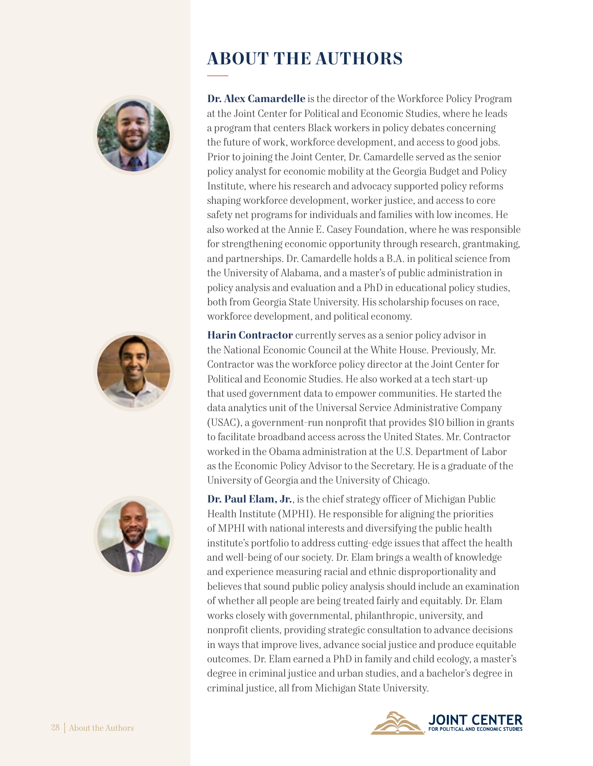





# **ABOUT THE AUTHORS**

**Dr. Alex Camardelle** is the director of the Workforce Policy Program at the Joint Center for Political and Economic Studies, where he leads a program that centers Black workers in policy debates concerning the future of work, workforce development, and access to good jobs. Prior to joining the Joint Center, Dr. Camardelle served as the senior policy analyst for economic mobility at the Georgia Budget and Policy Institute, where his research and advocacy supported policy reforms shaping workforce development, worker justice, and access to core safety net programs for individuals and families with low incomes. He also worked at the Annie E. Casey Foundation, where he was responsible for strengthening economic opportunity through research, grantmaking, and partnerships. Dr. Camardelle holds a B.A. in political science from the University of Alabama, and a master's of public administration in policy analysis and evaluation and a PhD in educational policy studies, both from Georgia State University. His scholarship focuses on race, workforce development, and political economy.

**Harin Contractor** currently serves as a senior policy advisor in the National Economic Council at the White House. Previously, Mr. Contractor was the workforce policy director at the Joint Center for Political and Economic Studies. He also worked at a tech start-up that used government data to empower communities. He started the data analytics unit of the Universal Service Administrative Company (USAC), a government-run nonprofit that provides \$10 billion in grants to facilitate broadband access across the United States. Mr. Contractor worked in the Obama administration at the U.S. Department of Labor as the Economic Policy Advisor to the Secretary. He is a graduate of the University of Georgia and the University of Chicago.

**Dr. Paul Elam, Jr.**, is the chief strategy officer of Michigan Public Health Institute (MPHI). He responsible for aligning the priorities of MPHI with national interests and diversifying the public health institute's portfolio to address cutting-edge issues that affect the health and well-being of our society. Dr. Elam brings a wealth of knowledge and experience measuring racial and ethnic disproportionality and believes that sound public policy analysis should include an examination of whether all people are being treated fairly and equitably. Dr. Elam works closely with governmental, philanthropic, university, and nonprofit clients, providing strategic consultation to advance decisions in ways that improve lives, advance social justice and produce equitable outcomes. Dr. Elam earned a PhD in family and child ecology, a master's degree in criminal justice and urban studies, and a bachelor's degree in criminal justice, all from Michigan State University.

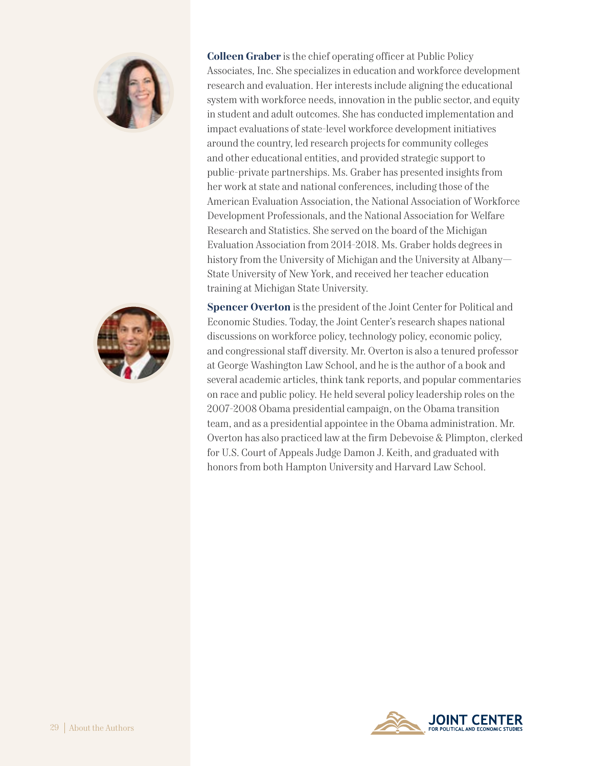



**Colleen Graber** is the chief operating officer at Public Policy Associates, Inc. She specializes in education and workforce development research and evaluation. Her interests include aligning the educational system with workforce needs, innovation in the public sector, and equity in student and adult outcomes. She has conducted implementation and impact evaluations of state-level workforce development initiatives around the country, led research projects for community colleges and other educational entities, and provided strategic support to public-private partnerships. Ms. Graber has presented insights from her work at state and national conferences, including those of the American Evaluation Association, the National Association of Workforce Development Professionals, and the National Association for Welfare Research and Statistics. She served on the board of the Michigan Evaluation Association from 2014-2018. Ms. Graber holds degrees in history from the University of Michigan and the University at Albany— State University of New York, and received her teacher education training at Michigan State University.

**Spencer Overton** is the president of the Joint Center for Political and Economic Studies. Today, the Joint Center's research shapes national discussions on workforce policy, technology policy, economic policy, and congressional staff diversity. Mr. Overton is also a tenured professor at George Washington Law School, and he is the author of a book and several academic articles, think tank reports, and popular commentaries on race and public policy. He held several policy leadership roles on the 2007-2008 Obama presidential campaign, on the Obama transition team, and as a presidential appointee in the Obama administration. Mr. Overton has also practiced law at the firm Debevoise & Plimpton, clerked for U.S. Court of Appeals Judge Damon J. Keith, and graduated with honors from both Hampton University and Harvard Law School.

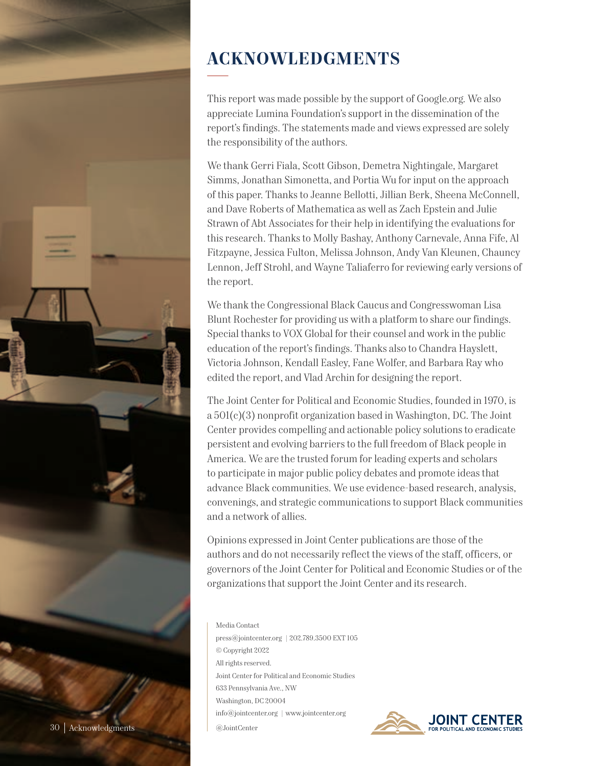

# **ACKNOWLEDGMENTS**

This report was made possible by the support of Google.org. We also appreciate Lumina Foundation's support in the dissemination of the report's findings. The statements made and views expressed are solely the responsibility of the authors.

We thank Gerri Fiala, Scott Gibson, Demetra Nightingale, Margaret Simms, Jonathan Simonetta, and Portia Wu for input on the approach of this paper. Thanks to Jeanne Bellotti, Jillian Berk, Sheena McConnell, and Dave Roberts of Mathematica as well as Zach Epstein and Julie Strawn of Abt Associates for their help in identifying the evaluations for this research. Thanks to Molly Bashay, Anthony Carnevale, Anna Fife, Al Fitzpayne, Jessica Fulton, Melissa Johnson, Andy Van Kleunen, Chauncy Lennon, Jeff Strohl, and Wayne Taliaferro for reviewing early versions of the report.

We thank the Congressional Black Caucus and Congresswoman Lisa Blunt Rochester for providing us with a platform to share our findings. Special thanks to VOX Global for their counsel and work in the public education of the report's findings. Thanks also to Chandra Hayslett, Victoria Johnson, Kendall Easley, Fane Wolfer, and Barbara Ray who edited the report, and Vlad Archin for designing the report.

The Joint Center for Political and Economic Studies, founded in 1970, is a 501(c)(3) nonprofit organization based in Washington, DC. The Joint Center provides compelling and actionable policy solutions to eradicate persistent and evolving barriers to the full freedom of Black people in America. We are the trusted forum for leading experts and scholars to participate in major public policy debates and promote ideas that advance Black communities. We use evidence-based research, analysis, convenings, and strategic communications to support Black communities and a network of allies.

Opinions expressed in Joint Center publications are those of the authors and do not necessarily reflect the views of the staff, officers, or governors of the Joint Center for Political and Economic Studies or of the organizations that support the Joint Center and its research.

Media Contact press@jointcenter.org | 202.789.3500 EXT 105 © Copyright 2022 All rights reserved. Joint Center for Political and Economic Studies 633 Pennsylvania Ave., NW Washington, DC 20004 info@jointcenter.org | www.jointcenter.org @JointCenter

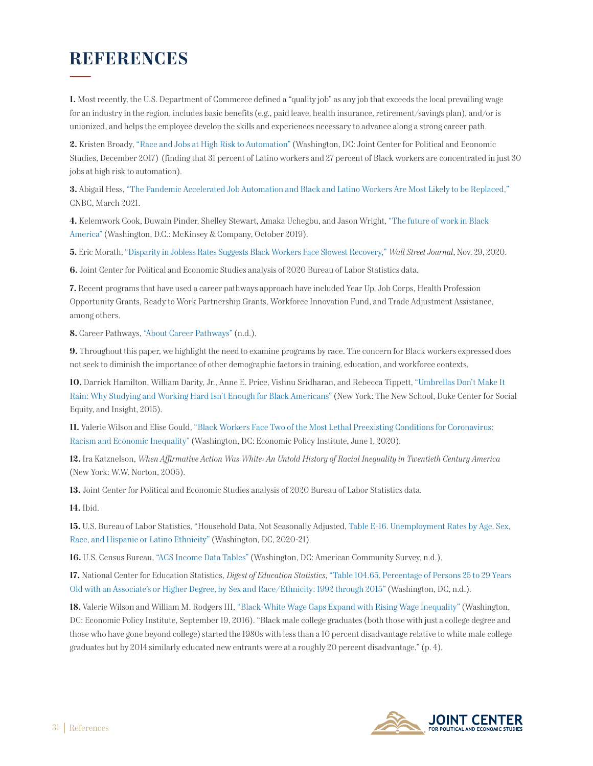## **REFERENCES**

**1.** Most recently, the U.S. Department of Commerce defined a "quality job" as any job that exceeds the local prevailing wage for an industry in the region, includes basic benefits (e.g., paid leave, health insurance, retirement/savings plan), and/or is unionized, and helps the employee develop the skills and experiences necessary to advance along a strong career path.

**2.** Kristen Broady, ["Race and Jobs at High Risk to Automation"](https://jointcenter.org/wp-content/uploads/2017/12/Race-and-Jobs-at-High-Risk-to-Automation-12-18-17-11_30-am.docx-2_0.pdf) (Washington, DC: Joint Center for Political and Economic Studies, December 2017) (finding that 31 percent of Latino workers and 27 percent of Black workers are concentrated in just 30 jobs at high risk to automation).

**3.** Abigail Hess, ["The Pandemic Accelerated Job Automation and Black and Latino Workers Are Most Likely to be Replaced,"](https://www.cnbc.com/2021/03/17/black-latino-workers-most-likely-to-be-replaced-by-automation-report.html) CNBC, March 2021.

**4.** Kelemwork Cook, Duwain Pinder, Shelley Stewart, Amaka Uchegbu, and Jason Wright, ["The future of work in Black](https://www.mckinsey.com/featured-insights/future-of-work/the-future-of-work-in-black-america) [America"](https://www.mckinsey.com/featured-insights/future-of-work/the-future-of-work-in-black-america) (Washington, D.C.: McKinsey & Company, October 2019).

**5.** Eric Morath, ["Disparity in Jobless Rates Suggests Black Workers Face Slowest Recovery,"](https://www.wsj.com/articles/disparity-in-jobless-rates-suggests-black-workers-face-slower-recovery-11606645801) *Wall Street Journal*, Nov. 29, 2020.

**6.** Joint Center for Political and Economic Studies analysis of 2020 Bureau of Labor Statistics data.

**7.** Recent programs that have used a career pathways approach have included Year Up, Job Corps, Health Profession Opportunity Grants, Ready to Work Partnership Grants, Workforce Innovation Fund, and Trade Adjustment Assistance, among others.

**8.** Career Pathways, ["About Career Pathways"](http://www.career-pathways.org/about-career-pathways/) (n.d.).

**9.** Throughout this paper, we highlight the need to examine programs by race. The concern for Black workers expressed does not seek to diminish the importance of other demographic factors in training, education, and workforce contexts.

**10.** Darrick Hamilton, William Darity, Jr., Anne E. Price, Vishnu Sridharan, and Rebecca Tippett, ["Umbrellas Don't Make It](http://www.career-pathways.org/about-career-pathways/) [Rain: Why Studying and Working Hard Isn't Enough for Black Americans"](http://www.career-pathways.org/about-career-pathways/) (New York: The New School, Duke Center for Social Equity, and Insight, 2015).

**11.** Valerie Wilson and Elise Gould, ["Black Workers Face Two of the Most Lethal Preexisting Conditions for Coronavirus:](https://www.epi.org/publication/black-workers-covid/) [Racism and Economic Inequality"](https://www.epi.org/publication/black-workers-covid/) (Washington, DC: Economic Policy Institute, June 1, 2020).

**12.** Ira Katznelson, *When Affirmative Action Was White: An Untold History of Racial Inequality in Twentieth Century America* (New York: W.W. Norton, 2005).

**13.** Joint Center for Political and Economic Studies analysis of 2020 Bureau of Labor Statistics data.

**14.** Ibid.

**15.** U.S. Bureau of Labor Statistics, "Household Data, Not Seasonally Adjusted, [Table E-16. Unemployment Rates by Age, Sex,](https://www.bls.gov/web/empsit/cpsee_e16.htm) [Race, and Hispanic or Latino Ethnicity"](https://www.bls.gov/web/empsit/cpsee_e16.htm) (Washington, DC, 2020-21).

**16.** U.S. Census Bureau, ["ACS Income Data Tables"](https://www.census.gov/topics/income-poverty/income/data/tables/acs.html) (Washington, DC: American Community Survey, n.d.).

**17.** National Center for Education Statistics, *Digest of Education Statistics*, ["Table 104.65. Percentage of Persons 25 to 29 Years](https://nces.ed.gov/programs/digest/d15/tables/dt15_104.65.asp) [Old with an Associate's or Higher Degree, by Sex and Race/Ethnicity: 1992 through 2015"](https://nces.ed.gov/programs/digest/d15/tables/dt15_104.65.asp) (Washington, DC, n.d.).

**18.** Valerie Wilson and William M. Rodgers III, "Black-White Wage Gaps Expand with Rising Wage Inequality" (Washington, DC: Economic Policy Institute, September 19, 2016). "Black male college graduates (both those with just a college degree and those who have gone beyond college) started the 1980s with less than a 10 percent disadvantage relative to white male college graduates but by 2014 similarly educated new entrants were at a roughly 20 percent disadvantage." (p. 4).

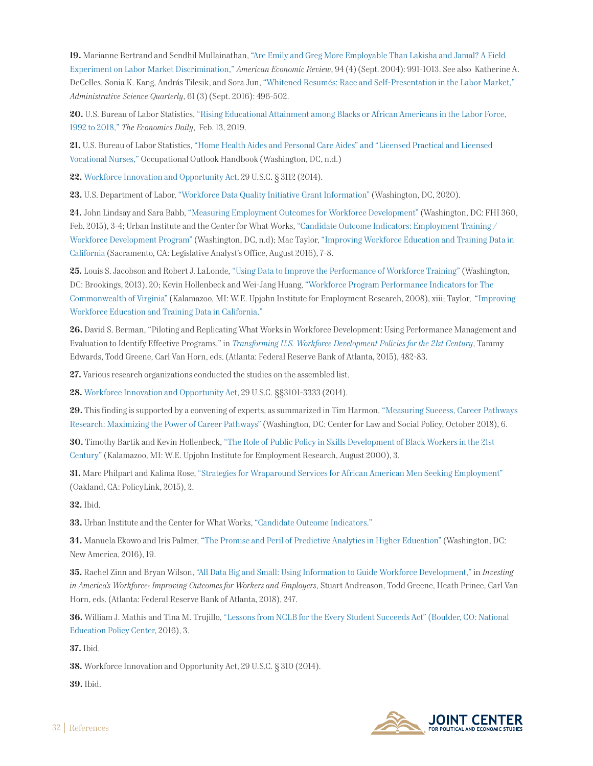**19.** Marianne Bertrand and Sendhil Mullainathan, ["Are Emily and Greg More Employable Than Lakisha and Jamal? A Field](https://www.aeaweb.org/articles?id=10.1257/0002828042002561) [Experiment on Labor Market Discrimination,"](https://www.aeaweb.org/articles?id=10.1257/0002828042002561) *American Economic Review*, 94 (4) (Sept. 2004): 991-1013. See also Katherine A. DeCelles, Sonia K. Kang, András Tilcsik, and Sora Jun, ["Whitened Resumés: Race and Self-Presentation in the Labor Market,"](http://www-2.rotman.utoronto.ca/facbios/file/Whitening%20MS%20R2%20Accepted.pdf)  *Administrative Science Quarterly*, 61 (3) (Sept. 2016): 496-502.

**20.** U.S. Bureau of Labor Statistics, ["Rising Educational Attainment among Blacks or African Americans in the Labor Force,](https://www.bls.gov/opub/ted/2019/rising-educational-attainment-among-blacks-or-african-americans-in-the-labor-force-1992-to-2018.htm) [1992 to 2018,"](https://www.bls.gov/opub/ted/2019/rising-educational-attainment-among-blacks-or-african-americans-in-the-labor-force-1992-to-2018.htm) *The Economics Daily*, Feb. 13, 2019.

**21.** U.S. Bureau of Labor Statistics, ["Home Health Aides and Personal Care Aides" and "Licensed Practical and Licensed](https://www.bls.gov/ooh/healthcare/home-health-aides-and-personal-care-aides.htm) [Vocational Nurses,"](https://www.bls.gov/ooh/healthcare/home-health-aides-and-personal-care-aides.htm) Occupational Outlook Handbook (Washington, DC, n.d.)

**22.** [Workforce Innovation and Opportunity Act,](https://uscode.house.gov/view.xhtml?path=/prelim@title29/chapter32&edition=prelim) 29 U.S.C. § 3112 (2014).

**23.** U.S. Department of Labor, ["Workforce Data Quality Initiative Grant Information"](http://www.doleta.gov/performance/workforcedatagrant09.cfm) (Washington, DC, 2020).

**24.** John Lindsay and Sara Babb, ["Measuring Employment Outcomes for Workforce Development"](https://www.usaid.gov/sites/default/files/documents/1865/Measuring_Employment_Outcomes_Briefing_Paper.pdf) (Washington, DC: FHI 360, Feb. 2015), 3-4; Urban Institute and the Center for What Works, ["Candidate Outcome Indicators: Employment Training /](https://www.urban.org/sites/default/files/employment_training.pdf)  [Workforce Development Program"](https://www.urban.org/sites/default/files/employment_training.pdf) (Washington, DC, n.d); Mac Taylor, ["Improving Workforce Education and Training Data in](https://lao.ca.gov/reports/2016/3494/improving-workforce-ed-data-081816.pdf)  [California](https://lao.ca.gov/reports/2016/3494/improving-workforce-ed-data-081816.pdf) (Sacramento, CA: Legislative Analyst's Office, August 2016), 7-8.

**25.** Louis S. Jacobson and Robert J. LaLonde, ["Using Data to Improve the Performance of Workforce Training"](https://www.brookings.edu/wp-content/uploads/2016/06/THP_JacobsonLaLondePaperF2_413.pdf) (Washington, DC: Brookings, 2013), 20; Kevin Hollenbeck and Wei-Jang Huang, ["Workforce Program Performance Indicators for The](https://research.upjohn.org/cgi/viewcontent.cgi?article=1027&context=up_technicalreports)  [Commonwealth of Virginia"](https://research.upjohn.org/cgi/viewcontent.cgi?article=1027&context=up_technicalreports) (Kalamazoo, MI: W.E. Upjohn Institute for Employment Research, 2008), xiii; Taylor, ["Improving](https://lao.ca.gov/reports/2016/3494/improving-workforce-ed-data-081816.pdf)  [Workforce Education and Training Data in California."](https://lao.ca.gov/reports/2016/3494/improving-workforce-ed-data-081816.pdf)

**26.** David S. Berman, "Piloting and Replicating What Works in Workforce Development: Using Performance Management and Evaluation to Identify Effective Programs," in *[Transforming U.S. Workforce Development Policies for the 21st Century](https://www.aspeninstitute.org/wp-content/uploads/2015/10/Transforming-US-Workforce-Development-Policies.pdf)*, Tammy Edwards, Todd Greene, Carl Van Horn, eds. (Atlanta: Federal Reserve Bank of Atlanta, 2015), 482-83.

**27.** Various research organizations conducted the studies on the assembled list.

**28.** [Workforce Innovation and Opportunity Act,](https://uscode.house.gov/view.xhtml?path=/prelim@title29/chapter32&edition=prelim) 29 U.S.C. §§3101-3333 (2014).

**29.** This finding is supported by a convening of experts, as summarized in Tim Harmon, ["Measuring Success, Career Pathways](https://www.clasp.org/sites/default/files/publications/2018/10/2018.10.3%20Measuring%20Success.pdf) [Research: Maximizing the Power of Career Pathways"](https://www.clasp.org/sites/default/files/publications/2018/10/2018.10.3%20Measuring%20Success.pdf) (Washington, DC: Center for Law and Social Policy, October 2018), 6.

**30.** Timothy Bartik and Kevin Hollenbeck, ["The Role of Public Policy in Skills Development of Black Workers in the 21st](https://research.upjohn.org/cgi/viewcontent.cgi?article=1081&context=up_workingpapers) [Century"](https://research.upjohn.org/cgi/viewcontent.cgi?article=1081&context=up_workingpapers) (Kalamazoo, MI: W.E. Upjohn Institute for Employment Research, August 2000), 3.

**31.** Marc Philpart and Kalima Rose, ["Strategies for Wraparound Services for African American Men Seeking Employment"](https://www.policylink.org/sites/default/files/Wraparound%20Services%20for%20African%20American%20Men%20Seeking%20Employment.pdf) (Oakland, CA: PolicyLink, 2015), 2.

**32.** Ibid.

**33.** Urban Institute and the Center for What Works, ["Candidate Outcome Indicators."](https://www.urban.org/sites/default/files/employment_training.pdf)

**34.** Manuela Ekowo and Iris Palmer, ["The Promise and Peril of Predictive Analytics in Higher Education"](https://na-production.s3.amazonaws.com/documents/Promise-and-Peril_4.pdf) (Washington, DC: New America, 2016), 19.

**35.** Rachel Zinn and Bryan Wilson, ["All Data Big and Small: Using Information to Guide Workforce Development,"](https://www.investinwork.org/-/media/Project/Atlanta/IAW/Files/volume-three/All-Data-Big-and-Small-Using-Information-to-Guide-Workforce-Development.pdf) in *Investing in America's Workforce: Improving Outcomes for Workers and Employers*, Stuart Andreason, Todd Greene, Heath Prince, Carl Van Horn, eds. (Atlanta: Federal Reserve Bank of Atlanta, 2018), 247.

**36.** William J. Mathis and Tina M. Trujillo, ["Lessons from NCLB for the Every Student Succeeds Act" \(Boulder, CO: National](https://files.eric.ed.gov/fulltext/ED574684.pdf) [Education Policy Center,](https://files.eric.ed.gov/fulltext/ED574684.pdf) 2016), 3.

**37.** Ibid.

**38.** Workforce Innovation and Opportunity Act, 29 U.S.C. § 310 (2014).

**39.** Ibid.